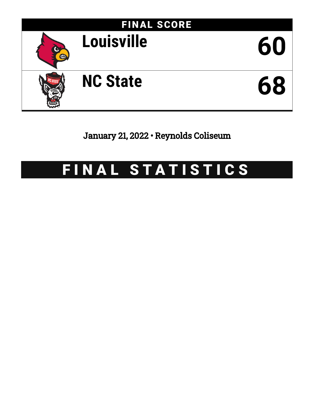

January 21, 2022 • Reynolds Coliseum

# FINAL STATISTICS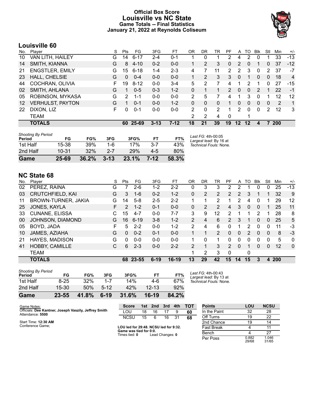### **Official Box Score Louisville vs NC State Game Totals -- Final Statistics January 21, 2022 at Reynolds Coliseum**



# **Louisville 60**

| No.               | Plaver                  | S  | Pts      | FG.      | 3FG      | FT      | OR | DR       | TR | PF            | A               | TO       | Blk          | Stl          | Min        | $+/-$          |
|-------------------|-------------------------|----|----------|----------|----------|---------|----|----------|----|---------------|-----------------|----------|--------------|--------------|------------|----------------|
| 10                | VAN LITH, HAILEY        | G  | 14       | $6 - 17$ | $2 - 4$  | 0-1     |    | 0        |    | 2             | 4               | 2        |              |              | 33         | $-13$          |
| 14                | SMITH, KIANNA           | G  | 8        | $4 - 10$ | $0 - 2$  | $0 - 0$ |    | 2        | 3  | $\mathbf{0}$  | 2               | $\Omega$ |              | $\mathbf{0}$ | 37         | $-12$          |
| 21                | <b>ENGSTLER, EMILY</b>  | G  | 15       | $6 - 18$ | $1 - 4$  | $2 - 3$ | 4  |          | 11 | 2             | 2               | 3        | $\mathbf{0}$ | 2            | 37         | $-7$           |
| 23                | HALL, CHELSIE           | G  | $\Omega$ | $0 - 4$  | $0 - 0$  | $0 - 0$ |    | 2        | 3  | 3             | 0               | 1        | $\mathbf{0}$ | $\mathbf{0}$ | 18         | $\overline{4}$ |
| 44                | COCHRAN, OLIVIA         | F. | 19       | $8 - 12$ | $0 - 0$  | $3 - 4$ | 5  | 2        | 7  | 4             | 1               | 2        | 1            | 0            | 27         | $-15$          |
| 02                | SMITH, AHLANA           | G  |          | $0 - 5$  | $0 - 3$  | $1 - 2$ | 0  | 1        |    | $\mathcal{P}$ | $\Omega$        | $\Omega$ | 2            | 1            | 22         | -1             |
| 05                | ROBINSON, MYKASA        | G  | 2        | $1 - 1$  | $0 - 0$  | $0 - 0$ | 2  | 5        |    | 4             |                 | 3        | $\Omega$     | 1            | 12         | 12             |
| $12 \overline{ }$ | <b>VERHULST, PAYTON</b> | G  |          | $0 - 1$  | $0 - 0$  | $1 - 2$ | 0  | 0        | 0  | 1             | 0               | 0        | $\Omega$     | $\Omega$     | 2          | 1              |
| 22                | DIXON, LIZ              | F. | 0        | $0 - 1$  | $0 - 0$  | $0-0$   | 2  | $\Omega$ | 2  | 1             | 2               | 0        | $\Omega$     | 2            | 12         | 3              |
|                   | TEAM                    |    |          |          |          |         | 2  | 2        | 4  | 0             |                 | 1        |              |              |            |                |
|                   | <b>TOTALS</b>           |    | 60       | 25-69    | $3 - 13$ | $7-12$  | 18 | 21       | 39 | 19            | 12 <sup>1</sup> | $12 \,$  | 4            |              | <b>200</b> |                |
|                   |                         |    |          |          |          |         |    |          |    |               |                 |          |              |              |            |                |

| <b>Shooting By Period</b> |           |       |          |       |         |       | Last FG: 4th-00:05     |
|---------------------------|-----------|-------|----------|-------|---------|-------|------------------------|
| Period                    | FG        | FG%   | 3FG      | 3FG%  | FT      | FT%   | Largest lead: By 16 at |
| 1st Half                  | 15-38     | 39%   | 1-6      | 17%   | $3 - 7$ | 43%   | Technical Fouls: None. |
| 2nd Half                  | $10 - 31$ | 32%   | $2 - 7$  | 29%   | 4-5     | 80%   |                        |
| Game                      | 25-69     | 36.2% | $3 - 13$ | 23.1% | $7-12$  | 58.3% |                        |

## **NC State 68**

| No. | Plaver                  | S  | Pts | FG       | 3FG      | FТ      | 0 <sub>R</sub> | DR | TR | PF             | A        | TO | Blk      | Stl      | Min        | $+/-$        |
|-----|-------------------------|----|-----|----------|----------|---------|----------------|----|----|----------------|----------|----|----------|----------|------------|--------------|
| 02  | PEREZ, RAINA            | G  |     | 2-6      | 1-2      | $2 - 2$ | 0              | 3  | 3  |                |          |    | 0        | 0        | 25         | $-13$        |
| 03  | <b>CRUTCHFIELD, KAI</b> | G  | 3   | $1 - 6$  | $0 - 2$  | $1 - 2$ | 0              | 2  | 2  | $\overline{2}$ | 2        | 3  |          |          | 32         | 9            |
| 11  | BROWN-TURNER, JAKIA     | G  | 14  | $5 - 8$  | $2 - 5$  | $2 - 2$ |                |    | 2  |                | 2        | 4  | 0        |          | 29         | 12           |
| 25  | JONES, KAYLA            | F  | 2   | $1 - 2$  | $0 - 1$  | $0 - 0$ | 0              | 2  | 2  | 4              | 3        | 0  | $\Omega$ |          | 25         | 11           |
| 33  | <b>CUNANE, ELISSA</b>   | C. | 15  | $4 - 7$  | $0 - 0$  | $7 - 7$ | 3              | 9  | 12 | $\mathcal{P}$  | 1        | 1  | 2        |          | 28         | 8            |
| 00  | JOHNSON, DIAMOND        | G  | 16  | $6 - 19$ | $3 - 8$  | $1 - 2$ | $\overline{2}$ | 4  | 6  | $\mathcal{P}$  | 3        |    | $\Omega$ | $\Omega$ | 25         | 5            |
| 05  | BOYD, JADA              | F  | 5   | $2 - 2$  | $0 - 0$  | $1 - 2$ | $\overline{2}$ | 4  | 6  | 0              | 1        | 2  | $\Omega$ | 0        | 11         | -3           |
| 10  | JAMES, AZIAHA           | G  | 0   | $0 - 2$  | $0 - 1$  | $0 - 0$ | 1              |    | 2  | 0              | $\Omega$ | 2  | $\Omega$ | 0        | 8          | -3           |
| 21  | <b>HAYES, MADISON</b>   | G  | 0   | $0 - 0$  | $0 - 0$  | $0 - 0$ | 1.             | 0  | 1  | 0              | $\Omega$ | 0  | $\Omega$ | $\Omega$ | 5          | 0            |
| 41  | HOBBY, CAMILLE          | С  | 6   | $2 - 3$  | $0 - 0$  | $2 - 2$ | $\overline{2}$ |    | 3  | $\mathcal{P}$  | $\Omega$ |    | $\Omega$ | $\Omega$ | 12         | $\mathbf{0}$ |
|     | <b>TEAM</b>             |    |     |          |          |         | 1              | 2  | 3  | $\Omega$       |          | 0  |          |          |            |              |
|     | <b>TOTALS</b>           |    |     | 68 23-55 | $6 - 19$ | $16-19$ | 13             | 29 | 42 | 15             | 14       | 15 | 3        | 4        | <b>200</b> |              |

| Game                                | 23-55    | 41.8% | $6 - 19$ | 31.6% | $16-19$   | 84.2% |    |
|-------------------------------------|----------|-------|----------|-------|-----------|-------|----|
| 2nd Half                            | $15-30$  | 50%   | $5 - 12$ | 42%   | $12 - 13$ | 92%   |    |
| 1st Half                            | $8 - 25$ | 32%   | $1 - 7$  | 14%   | 4-6       | 67%   | Te |
| <b>Shooting By Period</b><br>Period | FG       | FG%   | 3FG      | 3FG%  | FT        | FT%   |    |

*Last FG:* 4th-00:43 *Largest lead:* By 13 at *Technical Fouls:* None.

| Game Notes:                                                               | <b>Score</b>                          | 1st | 2nd | 3rd | 4th | <b>TOT</b> | <b>Points</b>     | LOU | <b>NCSU</b> |
|---------------------------------------------------------------------------|---------------------------------------|-----|-----|-----|-----|------------|-------------------|-----|-------------|
| Officials: Dee Kantner, Joseph Vaszily, Jeffrey Smith<br>Attendance: 5500 | LOU                                   | 18  | 16  |     |     |            | In the Paint      | 32  | 28          |
|                                                                           | <b>NCSU</b>                           | 15  | -ĥ  | 16  | -31 | 68         | Off Turns         | 19  | 22          |
| Start Time: 12:30 AM                                                      |                                       |     |     |     |     |            | 2nd Chance        | 19  | 14          |
| Conference Game:                                                          | LOU led for 29:48. NCSU led for 9:32. |     |     |     |     |            | <b>Fast Break</b> |     |             |
|                                                                           | Game was tied for 0:0.                |     |     |     |     |            | <b>Denah</b>      |     | ົ           |

**Game tied**: **0** Lead Changes: 0

| Points       | LOU            | <b>NCSU</b>    |
|--------------|----------------|----------------|
| In the Paint | 32             | 28             |
| Off Turns    | 19             | 22             |
| 2nd Chance   | 19             | 14             |
| Fast Break   |                | 11             |
| Bench        | Δ              | 27             |
| Per Poss     | 0.882<br>29/68 | 1.046<br>31/65 |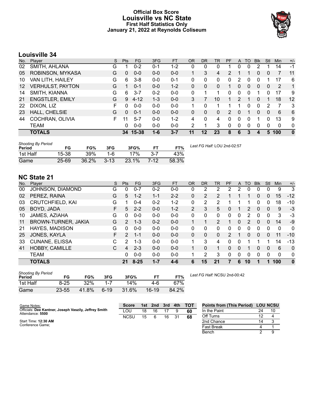### **Official Box Score Louisville vs NC State First Half Statistics Only January 21, 2022 at Reynolds Coliseum**



# **Louisville 34**

| No. | Plaver                  | S  | <b>Pts</b> | <b>FG</b> | 3FG     | <b>FT</b> | <b>OR</b> | <b>DR</b> | <b>TR</b> | PF             | A        | TO | <b>B</b> lk  | Stl      | Min | $+/-$        |
|-----|-------------------------|----|------------|-----------|---------|-----------|-----------|-----------|-----------|----------------|----------|----|--------------|----------|-----|--------------|
| 02  | SMITH, AHLANA           | G  |            | $0 - 2$   | $0 - 1$ | $1 - 2$   | 0         | 0         | 0         |                | 0        | 0  | 2            |          | 14  | $-1$         |
| 05  | ROBINSON, MYKASA        | G  | 0          | $0 - 0$   | $0 - 0$ | $0-0$     |           | 3         | 4         | $\overline{2}$ |          |    | 0            | 0        |     | 11           |
| 10  | VAN LITH, HAILEY        | G  | 6          | $3 - 8$   | $0 - 0$ | $0 - 1$   | 0         | 0         | 0         | 0              | 2        | O  |              |          | 17  | 6            |
| 12  | <b>VERHULST, PAYTON</b> | G  |            | $0 - 1$   | $0 - 0$ | $1 - 2$   | 0         | 0         | 0         |                | 0        | 0  | $\mathbf{0}$ | 0        | -2  | $\mathbf{1}$ |
| 14  | SMITH, KIANNA           | G  | 6          | $3 - 7$   | $0 - 2$ | $0 - 0$   | 0         |           |           | 0              | 0        | 0  |              | 0        | 17  | 9            |
| 21  | <b>ENGSTLER, EMILY</b>  | G  | 9          | $4 - 12$  | $1 - 3$ | $0 - 0$   | 3         |           | 10        | 1              | 2        | 1  | 0            |          | 18  | 12           |
| 22  | DIXON, LIZ              | F  | 0          | $0 - 0$   | $0 - 0$ | $0 - 0$   |           | 0         |           |                | 1        | 0  | 0            | 2        |     | 3            |
| 23  | HALL, CHELSIE           | G  | $\Omega$   | $0 - 1$   | $0 - 0$ | $0 - 0$   | 0         | 0         | $\Omega$  | 2              | $\Omega$ |    | 0            | $\Omega$ | 6   | 6            |
| 44  | COCHRAN, OLIVIA         | F. | 11         | $5 - 7$   | $0 - 0$ | $1 - 2$   | 4         | $\Omega$  | 4         | 0              | 0        | 0  |              | 0        | 13  | 9            |
|     | <b>TEAM</b>             |    | 0          | $0 - 0$   | $0 - 0$ | $0-0$     | 2         | 1         | 3         | 0              | 0        | 0  | 0            | 0        | 0   | $\mathbf 0$  |
|     | <b>TOTALS</b>           |    |            | 34 15-38  | 1-6     | $3 - 7$   | 11        | 12        | 23        | 8              | 6        | 3  | 4            | 5        | 100 | $\mathbf{0}$ |

| <b>Shooting By Period</b><br>Period | FG      | FG%   | 3FG      | 3FG%  |         | FT%   | Last FG Half: LOU 2nd-02:57 |
|-------------------------------------|---------|-------|----------|-------|---------|-------|-----------------------------|
| 1st Half                            | 15-38   | 39%   | 1-6      | 17%   | $3 - 7$ | 43%   |                             |
| Game                                | $25-69$ | 36.2% | $3 - 13$ | 23.1% | 7-12    | 58.3% |                             |

# **NC State 21**

| No. | Player                  | S  | <b>Pts</b>    | <b>FG</b> | 3FG     | <b>FT</b> | <b>OR</b>      | DR | <b>TR</b> | PF            | A        | TO       | <b>Blk</b> | Stl      | Min          | $+/-$        |
|-----|-------------------------|----|---------------|-----------|---------|-----------|----------------|----|-----------|---------------|----------|----------|------------|----------|--------------|--------------|
| 00  | JOHNSON, DIAMOND        | G  | 0             | $0 - 7$   | $0 - 2$ | $0 - 0$   | 0              | 2  | 2         | 2             | 2        | 0        | 0          | 0        | 9            | 3            |
| 02  | PEREZ, RAINA            | G  | 5             | $1 - 2$   | 1-1     | $2 - 2$   | $\Omega$       | 2  | 2         |               |          |          | 0          | 0        | 15           | $-12$        |
| 03  | <b>CRUTCHFIELD, KAI</b> | G  |               | $0 - 4$   | $0 - 2$ | $1 - 2$   | 0              | 2  | 2         |               |          |          | 0          | 0        | 18           | $-10$        |
| 05  | BOYD, JADA              | F  | 5             | $2 - 2$   | $0 - 0$ | $1 - 2$   | $\overline{2}$ | 3  | 5.        | 0             |          | 2        | 0          | 0        | 9            | $-3$         |
| 10  | JAMES, AZIAHA           | G  | 0             | $0-0$     | $0 - 0$ | $0 - 0$   | 0              | 0  | 0         | 0             | 0        | 2        | 0          | 0        | 3            | -3           |
| 11  | BROWN-TURNER, JAKIA     | G  | $\mathcal{P}$ | $1 - 3$   | $0 - 2$ | $0 - 0$   |                |    | 2         |               | $\Omega$ | 2        | 0          | 0        | 14           | -9           |
| 21  | HAYES, MADISON          | G  | 0             | $0 - 0$   | $0 - 0$ | $0 - 0$   | 0              | 0  | 0         | 0             | 0        | 0        | 0          | $\Omega$ | $\mathbf{0}$ | $\mathbf 0$  |
| 25  | JONES, KAYLA            | F. | $\mathcal{P}$ | $1 - 1$   | $0 - 0$ | $0 - 0$   | $\Omega$       | 0  | 0         | $\mathcal{P}$ |          | $\Omega$ | 0          | 0        | 11           | $-10$        |
| 33  | <b>CUNANE, ELISSA</b>   | C  | $\mathcal{P}$ | $1 - 3$   | $0 - 0$ | $0 - 0$   | 1              | 3  | 4         | ŋ             | 0        |          |            |          | 14           | $-13$        |
| 41  | <b>HOBBY, CAMILLE</b>   | C  | 4             | $2 - 3$   | $0 - 0$ | $0 - 0$   |                | 0  |           | 0             | 0        |          | 0          | $\Omega$ | 6            | $\Omega$     |
|     | <b>TEAM</b>             |    | 0             | $0 - 0$   | $0 - 0$ | $0 - 0$   |                | 2  | 3         | 0             | 0        | $\Omega$ | 0          | $\Omega$ | $\Omega$     | 0            |
|     | <b>TOTALS</b>           |    | 21            | $8 - 25$  | $1 - 7$ | 4-6       | 6              | 15 | 21        |               | 6        | 10       |            |          | 100          | $\mathbf{0}$ |

| <b>Shooting By Period</b><br>Period | FG       | FG%   | 3FG    | 3FG%  |         | FT%   |
|-------------------------------------|----------|-------|--------|-------|---------|-------|
| 1st Half                            | $8 - 25$ | 32%   |        | 14%   | 4-6     | 67%   |
| Game                                | 23-55    | 41.8% | $6-19$ | 31.6% | $16-19$ | 84.2% |

*Last FG Half:* NCSU 2nd-00:42

| Game Notes:                                                               | <b>Score</b> |    | 1st 2nd 3rd 4th |    | <b>TOT</b> | <b>Points from (This Period)</b> | <b>LOU NCSU</b> |
|---------------------------------------------------------------------------|--------------|----|-----------------|----|------------|----------------------------------|-----------------|
| Officials: Dee Kantner, Joseph Vaszily, Jeffrey Smith<br>Attendance: 5500 | LOU          | 18 | 16              |    | 60         | In the Paint                     |                 |
|                                                                           | <b>NCSU</b>  | 15 |                 | 16 | 68         | Off Turns                        |                 |
| Start Time: 12:30 AM                                                      |              |    |                 |    |            | 2nd Chance                       |                 |
| Conference Game:                                                          |              |    |                 |    |            | <b>Fast Break</b>                |                 |
|                                                                           |              |    |                 |    |            | Bench                            |                 |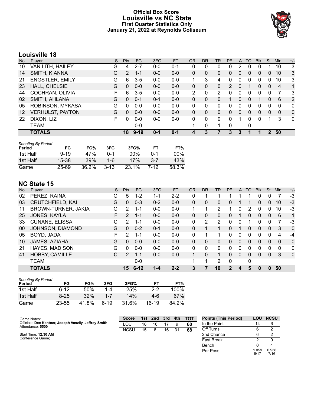### **Official Box Score Louisville vs NC State First Quarter Statistics Only January 21, 2022 at Reynolds Coliseum**



# **Louisville 18**

| No.     | Plaver                  | S | <b>Pts</b> | <b>FG</b> | 3FG     | <b>FT</b> | <b>OR</b> | <b>DR</b> | TR       | PF | A            | TO       | <b>Blk</b> | <b>Stl</b> | Min            | $+/-$        |
|---------|-------------------------|---|------------|-----------|---------|-----------|-----------|-----------|----------|----|--------------|----------|------------|------------|----------------|--------------|
| 10      | VAN LITH, HAILEY        | G | 4          | $2 - 7$   | $0 - 0$ | $0 - 1$   | 0         | 0         | 0        | 0  | 2            | 0        | 0          |            | 10             | 3            |
| 14      | SMITH, KIANNA           | G | 2          | 1-1       | $0 - 0$ | $0-0$     | 0         | 0         | 0        | 0  | 0            | 0        | 0          | 0          | 10             | 3            |
| 21      | <b>ENGSTLER, EMILY</b>  | G | 6          | $3-5$     | $0 - 0$ | $0-0$     | 1         | 3         | 4        | 0  | 0            | 0        |            | 0          | 10             | 3            |
| 23      | HALL, CHELSIE           | G | 0          | $0-0$     | $0 - 0$ | $0-0$     | 0         | 0         | 0        | 2  | $\mathbf{0}$ |          | 0          | 0          | $\overline{4}$ | 1            |
| 44      | COCHRAN, OLIVIA         | F | 6          | $3-5$     | $0 - 0$ | $0-0$     | 2         | 0         | 2        | 0  | 0            | 0        | 0          | 0          |                | -3           |
| 02      | SMITH, AHLANA           | G | 0          | $0 - 1$   | $0 - 1$ | $0 - 0$   | $\Omega$  | 0         | 0        |    | $\Omega$     | $\Omega$ |            | 0          | 6              | 2            |
| 05      | ROBINSON, MYKASA        | G | 0          | $0 - 0$   | $0 - 0$ | $0-0$     | 0         | 0         | 0        | 0  | 0            | $\Omega$ | 0          | 0          | $\Omega$       | $\mathbf 0$  |
| $12 \,$ | <b>VERHULST, PAYTON</b> | G | 0          | $0 - 0$   | $0 - 0$ | $0 - 0$   | 0         | 0         | 0        | 0  | $\mathbf{0}$ | $\Omega$ | 0          | 0          | $\Omega$       | $\mathbf{0}$ |
| 22      | DIXON, LIZ              | F | O          | $0 - 0$   | $0 - 0$ | $0-0$     | 0         | 0         | $\Omega$ | 0  |              | 0        | 0          | 1          | 3              | $\mathbf 0$  |
|         | <b>TEAM</b>             |   |            | $0 - 0$   |         |           | 1         | 0         | 1        | 0  |              | 0        |            |            |                |              |
|         | <b>TOTALS</b>           |   | 18         | $9 - 19$  | $0 - 1$ | $0 - 1$   |           | 3         |          | 3  | 3            |          |            | 2          | 50             |              |

| <b>Shooting By Period</b> |           |       |          |       |      |       |
|---------------------------|-----------|-------|----------|-------|------|-------|
| Period                    | FG        | FG%   | 3FG      | 3FG%  | FТ   | FT%   |
| 1st Half                  | $9 - 19$  | 47%   | በ-1      | 00%   | በ-1  | 00%   |
| 1st Half                  | 15-38     | 39%   | 1-6      | 17%   | 3-7  | 43%   |
| Game                      | $25 - 69$ | 36.2% | $3 - 13$ | 23.1% | 7-12 | 58.3% |

# **NC State 15**

| No. | Plaver                  | S  | Pts           | FG.      | 3FG     | <b>FT</b> | <b>OR</b> | <b>DR</b> | <b>TR</b>      | PF          | A            | TO       | <b>Blk</b> | Stl          | Min      | $+/-$        |
|-----|-------------------------|----|---------------|----------|---------|-----------|-----------|-----------|----------------|-------------|--------------|----------|------------|--------------|----------|--------------|
| 02  | PEREZ, RAINA            | G  | 5             | $1 - 2$  | 1-1     | $2 - 2$   | 0         |           |                |             |              |          | O          | 0            |          | $-3$         |
| 03  | <b>CRUTCHFIELD, KAI</b> | G  | $\mathbf{0}$  | $0 - 3$  | $0 - 2$ | $0 - 0$   | 0         | 0         | 0              | 0           |              |          | 0          | 0            | 10       | $-3$         |
| 11  | BROWN-TURNER, JAKIA     | G  | $\mathcal{P}$ | 1-1      | $0 - 0$ | $0 - 0$   | 1         |           | $\overline{2}$ |             | 0            | 2        | 0          | 0            | 10       | $-3$         |
| 25  | JONES, KAYLA            | F. | 2             | $1 - 1$  | $0 - 0$ | $0 - 0$   | $\Omega$  | 0         | 0              | 0           |              | 0        | 0          | $\Omega$     | 6        | 1            |
| 33  | <b>CUNANE, ELISSA</b>   | C  | 2             | 1-1      | $0 - 0$ | $0 - 0$   | 0         | 2         | 2              | 0           | 0            |          | 0          | 0            |          | -3           |
| 00  | JOHNSON, DIAMOND        | G  | $\Omega$      | $0 - 2$  | $0 - 1$ | $0 - 0$   | 0         |           | 1              | 0           |              | $\Omega$ | $\Omega$   | $\Omega$     | 3        | $\Omega$     |
| 05  | BOYD, JADA              | F  | $\mathcal{P}$ | $1 - 1$  | $0 - 0$ | $0-0$     | 0         |           | 1              | 0           | 0            | 0        | 0          | 0            | 4        | -4           |
| 10  | JAMES, AZIAHA           | G  | $\Omega$      | $0 - 0$  | $0 - 0$ | $0 - 0$   | $\Omega$  | $\Omega$  | 0              | 0           | $\Omega$     | $\Omega$ | 0          | $\Omega$     | $\Omega$ | $\Omega$     |
| 21  | HAYES, MADISON          | G  | $\Omega$      | $0 - 0$  | $0 - 0$ | $0 - 0$   | 0         | 0         | $\mathbf{0}$   | 0           | 0            | 0        | 0          | 0            | $\Omega$ | $\mathbf{0}$ |
| 41  | HOBBY, CAMILLE          | C  | 2             | $1 - 1$  | $0 - 0$ | $0 - 0$   |           | 0         | 1              | 0           | $\mathbf{0}$ | $\Omega$ | $\Omega$   | $\mathbf{0}$ | 3        | $\mathbf 0$  |
|     | <b>TEAM</b>             |    |               | $0 - 0$  |         |           |           | 1         | 2              | 0           |              | 0        |            |              |          |              |
|     | <b>TOTALS</b>           |    | 15            | $6 - 12$ | $1 - 4$ | $2 - 2$   | 3         |           | 10             | $\mathbf 2$ | 4            | 5        | O          | 0            | 50       |              |

| <b>Shooting By Period</b><br>Period | FG        | FG%   | 3FG     | 3FG%  | FТ    | FT%   |
|-------------------------------------|-----------|-------|---------|-------|-------|-------|
| 1st Half                            | $6 - 12$  | 50%   | 1-4     | 25%   | $2-2$ | 100%  |
| 1st Half                            | $8 - 25$  | 32%   | $1 - 7$ | 14%   | 4-6   | 67%   |
| Game                                | $23 - 55$ | 41.8% | 6-19    | 31.6% | 16-19 | 84.2% |

| Game Notes:                                           | <b>Score</b> | 1st | 2nd | 3rd | 4th | тот | <b>Points (This Period)</b> | LOU           | <b>NCSU</b>   |
|-------------------------------------------------------|--------------|-----|-----|-----|-----|-----|-----------------------------|---------------|---------------|
| Officials: Dee Kantner, Joseph Vaszily, Jeffrey Smith | LOU          | 18  | 16  |     |     | 60  | In the Paint                | 14            | 6             |
| Attendance: 5500                                      | <b>NCSU</b>  | 15  | 6   | 16  | 31  | 68  | Off Turns                   |               |               |
| Start Time: 12:30 AM                                  |              |     |     |     |     |     | 2nd Chance                  |               |               |
| Conference Game;                                      |              |     |     |     |     |     | <b>Fast Break</b>           |               |               |
|                                                       |              |     |     |     |     |     | Bench                       |               |               |
|                                                       |              |     |     |     |     |     | Per Poss                    | l.059<br>9/17 | 0.938<br>7/16 |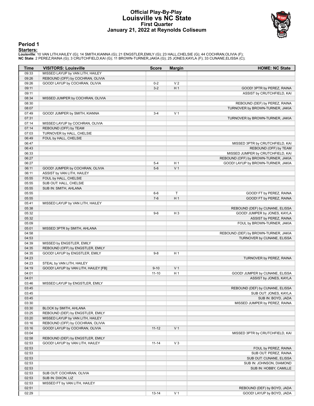#### **Official Play-By-Play Louisville vs NC State First Quarter January 21, 2022 at Reynolds Coliseum**



#### **Period 1**

<mark>Starters :</mark><br>Louisville: 10 VAN LITH,HAILEY (G); 14 SMITH,KIANNA (G); 21 ENGSTLER,EMILY (G); 23 HALL,CHELSIE (G); 44 COCHRAN,OLIVIA (F);<br>**NC State**: 2 PEREZ,RAINA (G); 3 CRUTCHFIELD,KAI (G); 11 BROWN-TURNER,JAKIA (G); 25 J

| Time  | <b>VISITORS: Louisville</b>          | <b>Score</b> | <b>Margin</b>  | <b>HOME: NC State</b>                |
|-------|--------------------------------------|--------------|----------------|--------------------------------------|
| 09:33 | MISSED LAYUP by VAN LITH, HAILEY     |              |                |                                      |
| 09:26 | REBOUND (OFF) by COCHRAN, OLIVIA     |              |                |                                      |
| 09:26 | GOOD! LAYUP by COCHRAN, OLIVIA       | $0 - 2$      | V <sub>2</sub> |                                      |
| 09:11 |                                      | $3-2$        | H <sub>1</sub> | GOOD! 3PTR by PEREZ, RAINA           |
| 09:11 |                                      |              |                | ASSIST by CRUTCHFIELD, KAI           |
| 08:34 | MISSED JUMPER by COCHRAN, OLIVIA     |              |                |                                      |
| 08:30 |                                      |              |                | REBOUND (DEF) by PEREZ, RAINA        |
| 08:07 |                                      |              |                | TURNOVER by BROWN-TURNER, JAKIA      |
| 07:49 | GOOD! JUMPER by SMITH, KIANNA        | $3 - 4$      | V <sub>1</sub> |                                      |
| 07:31 |                                      |              |                | TURNOVER by BROWN-TURNER, JAKIA      |
| 07:14 | MISSED LAYUP by COCHRAN, OLIVIA      |              |                |                                      |
| 07:14 | REBOUND (OFF) by TEAM                |              |                |                                      |
| 07:03 | TURNOVER by HALL, CHELSIE            |              |                |                                      |
| 06:49 | FOUL by HALL, CHELSIE                |              |                |                                      |
| 06:47 |                                      |              |                | MISSED 3PTR by CRUTCHFIELD, KAI      |
| 06:43 |                                      |              |                | REBOUND (OFF) by TEAM                |
| 06:33 |                                      |              |                | MISSED JUMPER by CRUTCHFIELD, KAI    |
| 06:27 |                                      |              |                | REBOUND (OFF) by BROWN-TURNER, JAKIA |
| 06:27 |                                      | $5 - 4$      | H <sub>1</sub> | GOOD! LAYUP by BROWN-TURNER, JAKIA   |
| 06:11 | GOOD! JUMPER by COCHRAN, OLIVIA      | $5-6$        | V <sub>1</sub> |                                      |
| 06:11 | ASSIST by VAN LITH, HAILEY           |              |                |                                      |
| 05:55 | FOUL by HALL, CHELSIE                |              |                |                                      |
| 05:55 | SUB OUT: HALL, CHELSIE               |              |                |                                      |
| 05:55 | SUB IN: SMITH, AHLANA                |              |                |                                      |
| 05:55 |                                      | $6-6$        | $\top$         | GOOD! FT by PEREZ, RAINA             |
| 05:55 |                                      | $7-6$        | H <sub>1</sub> | GOOD! FT by PEREZ, RAINA             |
| 05:41 | MISSED LAYUP by VAN LITH, HAILEY     |              |                |                                      |
| 05:38 |                                      |              |                | REBOUND (DEF) by CUNANE, ELISSA      |
| 05:32 |                                      | $9-6$        | H <sub>3</sub> | GOOD! JUMPER by JONES, KAYLA         |
| 05:32 |                                      |              |                | ASSIST by PEREZ, RAINA               |
| 05:09 |                                      |              |                | FOUL by BROWN-TURNER, JAKIA          |
| 05:01 | MISSED 3PTR by SMITH, AHLANA         |              |                |                                      |
| 04:58 |                                      |              |                | REBOUND (DEF) by BROWN-TURNER, JAKIA |
| 04:53 |                                      |              |                | TURNOVER by CUNANE, ELISSA           |
| 04:39 | MISSED by ENGSTLER, EMILY            |              |                |                                      |
| 04:35 | REBOUND (OFF) by ENGSTLER, EMILY     |              |                |                                      |
| 04:35 | GOOD! LAYUP by ENGSTLER, EMILY       | $9 - 8$      | H <sub>1</sub> |                                      |
| 04:23 |                                      |              |                | TURNOVER by PEREZ, RAINA             |
| 04:23 | STEAL by VAN LITH, HAILEY            |              |                |                                      |
| 04:19 | GOOD! LAYUP by VAN LITH, HAILEY [FB] | $9 - 10$     | V <sub>1</sub> |                                      |
| 04:01 |                                      | $11 - 10$    | H <sub>1</sub> | GOOD! JUMPER by CUNANE, ELISSA       |
| 04:01 |                                      |              |                | ASSIST by JONES, KAYLA               |
| 03:46 | MISSED LAYUP by ENGSTLER, EMILY      |              |                |                                      |
| 03:45 |                                      |              |                | REBOUND (DEF) by CUNANE, ELISSA      |
| 03:45 |                                      |              |                | SUB OUT: JONES, KAYLA                |
| 03:45 |                                      |              |                | SUB IN: BOYD, JADA                   |
| 03:30 |                                      |              |                | MISSED JUMPER by PEREZ, RAINA        |
| 03:30 | BLOCK by SMITH, AHLANA               |              |                |                                      |
| 03:25 | REBOUND (DEF) by ENGSTLER, EMILY     |              |                |                                      |
| 03:20 | MISSED LAYUP by VAN LITH, HAILEY     |              |                |                                      |
| 03:16 | REBOUND (OFF) by COCHRAN, OLIVIA     |              |                |                                      |
| 03:16 | GOOD! LAYUP by COCHRAN, OLIVIA       | $11 - 12$    | V <sub>1</sub> |                                      |
| 03:04 |                                      |              |                | MISSED 3PTR by CRUTCHFIELD, KAI      |
| 02:58 | REBOUND (DEF) by ENGSTLER, EMILY     |              |                |                                      |
| 02:53 | GOOD! LAYUP by VAN LITH, HAILEY      | $11 - 14$    | $V_3$          |                                      |
| 02:53 |                                      |              |                | FOUL by PEREZ, RAINA                 |
| 02:53 |                                      |              |                | SUB OUT: PEREZ, RAINA                |
| 02:53 |                                      |              |                | SUB OUT: CUNANE, ELISSA              |
| 02:53 |                                      |              |                | SUB IN: JOHNSON, DIAMOND             |
| 02:53 |                                      |              |                | SUB IN: HOBBY, CAMILLE               |
| 02:53 | SUB OUT: COCHRAN, OLIVIA             |              |                |                                      |
| 02:53 | SUB IN: DIXON, LIZ                   |              |                |                                      |
| 02:53 | MISSED FT by VAN LITH, HAILEY        |              |                |                                      |
| 02:51 |                                      |              |                | REBOUND (DEF) by BOYD, JADA          |
| 02:29 |                                      | $13 - 14$    | V <sub>1</sub> | GOOD! LAYUP by BOYD, JADA            |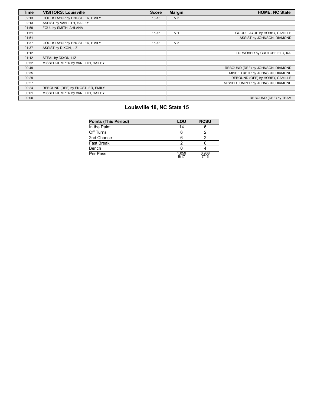| Time  | <b>VISITORS: Louisville</b>       | <b>Score</b> | <b>Margin</b>  | <b>HOME: NC State</b>             |
|-------|-----------------------------------|--------------|----------------|-----------------------------------|
| 02:13 | GOOD! LAYUP by ENGSTLER, EMILY    | $13 - 16$    | V <sub>3</sub> |                                   |
| 02:13 | ASSIST by VAN LITH, HAILEY        |              |                |                                   |
| 01:59 | FOUL by SMITH, AHLANA             |              |                |                                   |
| 01:51 |                                   | $15-16$      | V <sub>1</sub> | GOOD! LAYUP by HOBBY, CAMILLE     |
| 01:51 |                                   |              |                | ASSIST by JOHNSON, DIAMOND        |
| 01:37 | GOOD! LAYUP by ENGSTLER, EMILY    | $15-18$      | $V_3$          |                                   |
| 01:37 | ASSIST by DIXON, LIZ              |              |                |                                   |
| 01:12 |                                   |              |                | TURNOVER by CRUTCHFIELD, KAI      |
| 01:12 | STEAL by DIXON, LIZ               |              |                |                                   |
| 00:52 | MISSED JUMPER by VAN LITH, HAILEY |              |                |                                   |
| 00:49 |                                   |              |                | REBOUND (DEF) by JOHNSON, DIAMOND |
| 00:35 |                                   |              |                | MISSED 3PTR by JOHNSON, DIAMOND   |
| 00:29 |                                   |              |                | REBOUND (OFF) by HOBBY, CAMILLE   |
| 00:27 |                                   |              |                | MISSED JUMPER by JOHNSON, DIAMOND |
| 00:24 | REBOUND (DEF) by ENGSTLER, EMILY  |              |                |                                   |
| 00:01 | MISSED JUMPER by VAN LITH, HAILEY |              |                |                                   |
| 00:00 |                                   |              |                | REBOUND (DEF) by TEAM             |

# **Louisville 18, NC State 15**

| <b>Points (This Period)</b> | LOU           | <b>NCSU</b>   |
|-----------------------------|---------------|---------------|
| In the Paint                | 14            |               |
| Off Turns                   | 6             |               |
| 2nd Chance                  | Ⴌ             |               |
| Fast Break                  |               |               |
| Bench                       |               |               |
| Per Poss                    | 1.059<br>9/17 | 0.938<br>7/16 |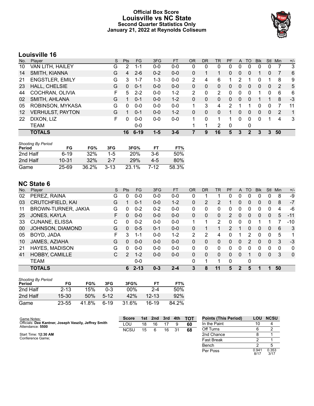### **Official Box Score Louisville vs NC State Second Quarter Statistics Only January 21, 2022 at Reynolds Coliseum**



8/17 0.353 3/17

# **Louisville 16**

| No. | Plaver                  | S  | <b>Pts</b> | <b>FG</b> | 3FG     | <b>FT</b> | <b>OR</b> | DR           | TR | PF | A        | TO       | <b>B</b> lk | Stl          | Min | $+/-$        |
|-----|-------------------------|----|------------|-----------|---------|-----------|-----------|--------------|----|----|----------|----------|-------------|--------------|-----|--------------|
| 10  | VAN LITH, HAILEY        | G  | 2          | 1-1       | $0 - 0$ | $0 - 0$   | 0         | 0            | 0  | 0  | 0        | 0        | 0           | 0            |     | 3            |
| 14  | SMITH, KIANNA           | G  | 4          | $2 - 6$   | $0 - 2$ | $0-0$     | 0         |              |    | 0  | 0        | 0        |             | 0            |     | 6            |
| 21  | <b>ENGSTLER, EMILY</b>  | G  | 3          | 1-7       | 1-3     | $0-0$     | 2         | 4            | 6  |    |          |          |             |              | 8   | 9            |
| 23  | HALL, CHELSIE           | G  | 0          | $0 - 1$   | $0 - 0$ | $0 - 0$   | 0         | 0            | 0  | 0  | 0        | $\Omega$ | 0           | 0            | -2  | 5            |
| 44  | COCHRAN, OLIVIA         | F  | 5.         | $2 - 2$   | $0 - 0$ | $1 - 2$   | 2         | $\mathbf{0}$ | 2  | 0  | 0        | 0        |             | 0            | 6   | 6            |
| 02  | SMITH, AHLANA           | G  |            | $0 - 1$   | $0 - 0$ | $1 - 2$   | $\Omega$  | 0            | 0  | 0  | $\Omega$ | $\Omega$ |             |              | 8   | $-3$         |
| 05  | ROBINSON, MYKASA        | G  | 0          | $0 - 0$   | $0 - 0$ | $0 - 0$   | 1         | 3            | 4  | 2  |          |          | 0           | 0            |     | 11           |
| 12  | <b>VERHULST, PAYTON</b> | G  |            | $0 - 1$   | $0 - 0$ | $1 - 2$   | 0         | $\Omega$     | 0  | 1  | 0        | $\Omega$ | 0           | $\mathbf{0}$ | 2   | $\mathbf{1}$ |
| 22  | DIXON, LIZ              | F. | 0          | $0 - 0$   | $0-0$   | $0-0$     | 1         | 0            | 1  | 1  | 0        | $\Omega$ | 0           |              | 4   | 3            |
|     | TEAM                    |    |            | $0 - 0$   |         |           | 1         |              | 2  | 0  |          | 0        |             |              |     |              |
|     | <b>TOTALS</b>           |    | 16         | $6 - 19$  | $1 - 5$ | 3-6       |           | 9            | 16 | 5  | 3        |          | 3           | 3            | 50  |              |

| <b>Shooting By Period</b> |           |       |          |            |         |       |
|---------------------------|-----------|-------|----------|------------|---------|-------|
| Period                    | FG        | FG%   | 3FG      | 3FG%       | FТ      | FT%   |
| 2nd Half                  | $6-19$    | 32%   | $1-5$    | <b>20%</b> | $3-6$   | 50%   |
| 2nd Half                  | $10 - 31$ | 32%   | 2-7      | <b>29%</b> | $4 - 5$ | 80%   |
| Game                      | 25-69     | 36.2% | $3 - 13$ | $23.1\%$   | 7-12    | 58.3% |

# **NC State 6**

| No. | Player                  | S | Pts         | FG       | 3FG     | <b>FT</b> | 0R       | <b>DR</b> | <b>TR</b>    | PF | A        | TO       | <b>B</b> lk | Stl          | Min      | $+/-$        |
|-----|-------------------------|---|-------------|----------|---------|-----------|----------|-----------|--------------|----|----------|----------|-------------|--------------|----------|--------------|
| 02  | PEREZ, RAINA            | G | 0           | $0 - 0$  | $0 - 0$ | $0 - 0$   | 0        |           |              | 0  | 0        |          | 0           | 0            | 8        | -9           |
| 03  | <b>CRUTCHFIELD, KAI</b> | G |             | $0 - 1$  | $0 - 0$ | $1 - 2$   | $\Omega$ | 2         | 2            |    | 0        | 0        | 0           | 0            | 8        | $-7$         |
| 11  | BROWN-TURNER, JAKIA     | G | 0           | $0 - 2$  | $0 - 2$ | $0-0$     | 0        | 0         | 0            | 0  | 0        | 0        | 0           | 0            | 4        | -6           |
| 25  | JONES, KAYLA            | F | 0           | $0 - 0$  | $0 - 0$ | $0 - 0$   | $\Omega$ | 0         | 0            | 2  | 0        | $\Omega$ | 0           | $\mathbf{0}$ | 5        | $-11$        |
| 33  | CUNANE, ELISSA          | C | 0           | $0 - 2$  | $0 - 0$ | $0 - 0$   | 1        |           | 2            | 0  | 0        | $\Omega$ | 1           |              |          | $-10$        |
| 00  | JOHNSON, DIAMOND        | G | 0           | $0 - 5$  | $0 - 1$ | $0 - 0$   | 0        |           | 1            | 2  |          | $\Omega$ | 0           | $\mathbf{0}$ | 6        | 3            |
| 05  | BOYD, JADA              | F | 3           | 1-1      | $0 - 0$ | $1 - 2$   | 2        | 2         | 4            | 0  |          | 2        | 0           | 0            | 5        | 1            |
| 10  | JAMES, AZIAHA           | G | $\Omega$    | $0 - 0$  | $0 - 0$ | $0 - 0$   | $\Omega$ | 0         | 0            | 0  | $\Omega$ | 2        | 0           | $\Omega$     | 3        | $-3$         |
| 21  | <b>HAYES, MADISON</b>   | G | 0           | $0 - 0$  | $0 - 0$ | $0 - 0$   | 0        | 0         | 0            | 0  | 0        | 0        | 0           | 0            | $\Omega$ | $\mathbf{0}$ |
| 41  | HOBBY, CAMILLE          | С | $2^{\circ}$ | $1 - 2$  | $0 - 0$ | $0 - 0$   | $\Omega$ | 0         | $\mathbf{0}$ | 0  | $\Omega$ |          | 0           | $\mathbf{0}$ | 3        | $\mathbf{0}$ |
|     | <b>TEAM</b>             |   |             | $0-0$    |         |           | 0        |           | 1            | 0  |          | 0        |             |              |          |              |
|     | <b>TOTALS</b>           |   | 6           | $2 - 13$ | $0 - 3$ | $2 - 4$   | 3        | 8         | 11           | 5  | 2        | 5        |             |              | 50       |              |

| <b>Shooting By Period</b><br>Period | FG        | FG%   | 3FG    | 3FG%   | FТ        | FT%   |
|-------------------------------------|-----------|-------|--------|--------|-----------|-------|
| 2nd Half                            | $2 - 13$  | 15%   | 0-3    | $00\%$ | $2 - 4$   | 50%   |
| 2nd Half                            | $15 - 30$ | 50%   | $5-12$ | 42%    | $12 - 13$ | 92%   |
| Game                                | 23-55     | 41.8% | հ-19   | 31.6%  | 16-19     | 84.2% |

| Game Notes:                                                               | <b>Score</b> | 1st | 2nd | 3rd | 4th | <b>TOT</b> | <b>Points (This Period)</b> | LOU   | <b>NCSU</b> |
|---------------------------------------------------------------------------|--------------|-----|-----|-----|-----|------------|-----------------------------|-------|-------------|
| Officials: Dee Kantner, Joseph Vaszily, Jeffrey Smith<br>Attendance: 5500 | LOU          | 18  | 16  |     |     | 60         | In the Paint                | 10    |             |
|                                                                           | <b>NCSU</b>  | 15  |     | 16  | 31  | 68         | Off Turns                   |       |             |
| Start Time: 12:30 AM                                                      |              |     |     |     |     |            | 2nd Chance                  |       |             |
| Conference Game;                                                          |              |     |     |     |     |            | <b>Fast Break</b>           |       |             |
|                                                                           |              |     |     |     |     |            | Bench                       |       |             |
|                                                                           |              |     |     |     |     |            | Per Poss                    | 0.941 | 0.353       |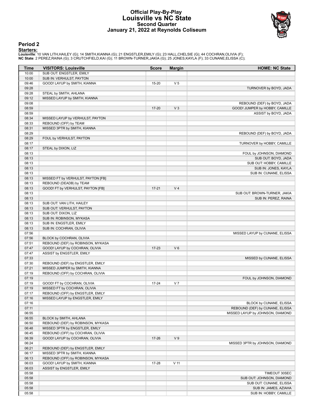#### **Official Play-By-Play Louisville vs NC State Second Quarter January 21, 2022 at Reynolds Coliseum**



#### **Period 2**

<mark>Starters :</mark><br>Louisville: 10 VAN LITH,HAILEY (G); 14 SMITH,KIANNA (G); 21 ENGSTLER,EMILY (G); 23 HALL,CHELSIE (G); 44 COCHRAN,OLIVIA (F);<br>**NC State**: 2 PEREZ,RAINA (G); 3 CRUTCHFIELD,KAI (G); 11 BROWN-TURNER,JAKIA (G); 25 J

| Time  | <b>VISITORS: Louisville</b>        | <b>Score</b> | <b>Margin</b>  | <b>HOME: NC State</b>            |
|-------|------------------------------------|--------------|----------------|----------------------------------|
| 10:00 | SUB OUT: ENGSTLER, EMILY           |              |                |                                  |
| 10:00 | SUB IN: VERHULST, PAYTON           |              |                |                                  |
| 09:46 | GOOD! LAYUP by SMITH, KIANNA       | 15-20        | V <sub>5</sub> |                                  |
| 09:28 |                                    |              |                | TURNOVER by BOYD, JADA           |
| 09:28 | STEAL by SMITH, AHLANA             |              |                |                                  |
| 09:12 | MISSED LAYUP by SMITH, KIANNA      |              |                |                                  |
| 09:08 |                                    |              |                | REBOUND (DEF) by BOYD, JADA      |
| 08:59 |                                    | $17 - 20$    | $V_3$          | GOOD! JUMPER by HOBBY, CAMILLE   |
| 08:59 |                                    |              |                | ASSIST by BOYD, JADA             |
| 08:34 | MISSED LAYUP by VERHULST, PAYTON   |              |                |                                  |
| 08:33 | REBOUND (OFF) by TEAM              |              |                |                                  |
| 08:31 | MISSED 3PTR by SMITH, KIANNA       |              |                |                                  |
| 08:29 |                                    |              |                | REBOUND (DEF) by BOYD, JADA      |
| 08:29 | FOUL by VERHULST, PAYTON           |              |                |                                  |
| 08:17 |                                    |              |                | TURNOVER by HOBBY, CAMILLE       |
| 08:17 | STEAL by DIXON, LIZ                |              |                |                                  |
| 08:13 |                                    |              |                | FOUL by JOHNSON, DIAMOND         |
| 08:13 |                                    |              |                | SUB OUT: BOYD, JADA              |
| 08:13 |                                    |              |                | SUB OUT: HOBBY, CAMILLE          |
| 08:13 |                                    |              |                | SUB IN: JONES, KAYLA             |
| 08:13 |                                    |              |                | SUB IN: CUNANE, ELISSA           |
| 08:13 | MISSED FT by VERHULST, PAYTON [FB] |              |                |                                  |
| 08:13 | REBOUND (DEADB) by TEAM            |              |                |                                  |
| 08:13 | GOOD! FT by VERHULST, PAYTON [FB]  | $17 - 21$    | V <sub>4</sub> |                                  |
| 08:13 |                                    |              |                | SUB OUT: BROWN-TURNER, JAKIA     |
| 08:13 |                                    |              |                | SUB IN: PEREZ, RAINA             |
| 08:13 | SUB OUT: VAN LITH, HAILEY          |              |                |                                  |
| 08:13 | SUB OUT: VERHULST, PAYTON          |              |                |                                  |
| 08:13 | SUB OUT: DIXON, LIZ                |              |                |                                  |
| 08:13 | SUB IN: ROBINSON, MYKASA           |              |                |                                  |
| 08:13 | SUB IN: ENGSTLER, EMILY            |              |                |                                  |
| 08:13 | SUB IN: COCHRAN, OLIVIA            |              |                |                                  |
| 07:56 |                                    |              |                | MISSED LAYUP by CUNANE, ELISSA   |
| 07:56 | BLOCK by COCHRAN, OLIVIA           |              |                |                                  |
| 07:51 | REBOUND (DEF) by ROBINSON, MYKASA  |              |                |                                  |
| 07:47 | GOOD! LAYUP by COCHRAN, OLIVIA     | $17 - 23$    | $V_6$          |                                  |
| 07:47 | ASSIST by ENGSTLER, EMILY          |              |                |                                  |
| 07:33 |                                    |              |                | MISSED by CUNANE, ELISSA         |
| 07:30 | REBOUND (DEF) by ENGSTLER, EMILY   |              |                |                                  |
| 07:21 | MISSED JUMPER by SMITH, KIANNA     |              |                |                                  |
| 07:19 | REBOUND (OFF) by COCHRAN, OLIVIA   |              |                |                                  |
| 07:19 |                                    |              |                | FOUL by JOHNSON, DIAMOND         |
| 07:19 | GOOD! FT by COCHRAN, OLIVIA        | $17 - 24$    | V <sub>7</sub> |                                  |
| 07:19 | MISSED FT by COCHRAN, OLIVIA       |              |                |                                  |
| 07:17 | REBOUND (OFF) by ENGSTLER, EMILY   |              |                |                                  |
| 07:16 | MISSED LAYUP by ENGSTLER, EMILY    |              |                |                                  |
| 07:16 |                                    |              |                | BLOCK by CUNANE, ELISSA          |
| 07:11 |                                    |              |                | REBOUND (DEF) by CUNANE, ELISSA  |
| 06:55 |                                    |              |                | MISSED LAYUP by JOHNSON, DIAMOND |
| 06:55 | BLOCK by SMITH, AHLANA             |              |                |                                  |
| 06:50 | REBOUND (DEF) by ROBINSON, MYKASA  |              |                |                                  |
| 06:48 | MISSED 3PTR by ENGSTLER, EMILY     |              |                |                                  |
| 06:45 | REBOUND (OFF) by COCHRAN, OLIVIA   |              |                |                                  |
| 06:39 | GOOD! LAYUP by COCHRAN, OLIVIA     | 17-26        | V <sub>9</sub> |                                  |
| 06:24 |                                    |              |                | MISSED 3PTR by JOHNSON, DIAMOND  |
| 06:21 | REBOUND (DEF) by ENGSTLER, EMILY   |              |                |                                  |
| 06:17 | MISSED 3PTR by SMITH, KIANNA       |              |                |                                  |
| 06:13 | REBOUND (OFF) by ROBINSON, MYKASA  |              |                |                                  |
|       | GOOD! LAYUP by SMITH, KIANNA       | 17-28        | $V$ 11         |                                  |
| 06:03 |                                    |              |                |                                  |
| 06:03 | ASSIST by ENGSTLER, EMILY          |              |                |                                  |
| 05:58 |                                    |              |                | TIMEOUT 30SEC                    |
| 05:58 |                                    |              |                | SUB OUT: JOHNSON, DIAMOND        |
| 05:58 |                                    |              |                | SUB OUT: CUNANE, ELISSA          |
| 05:58 |                                    |              |                | SUB IN: JAMES, AZIAHA            |
| 05:58 |                                    |              |                | SUB IN: HOBBY, CAMILLE           |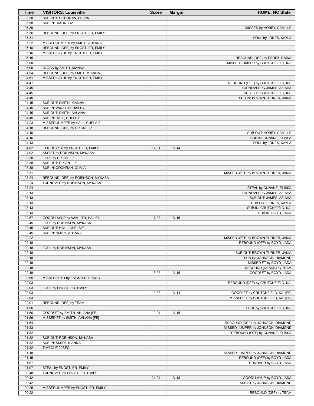| Time           | <b>VISITORS: Louisville</b>       | <b>Score</b> | <b>Margin</b>   | <b>HOME: NC State</b>                               |
|----------------|-----------------------------------|--------------|-----------------|-----------------------------------------------------|
| 05:58          | SUB OUT: COCHRAN, OLIVIA          |              |                 |                                                     |
| 05:58          | SUB IN: DIXON, LIZ                |              |                 |                                                     |
| 05:39          |                                   |              |                 | MISSED by HOBBY, CAMILLE                            |
| 05:36          | REBOUND (DEF) by ENGSTLER, EMILY  |              |                 |                                                     |
| 05:31          |                                   |              |                 | FOUL by JONES, KAYLA                                |
| 05:22          | MISSED JUMPER by SMITH, AHLANA    |              |                 |                                                     |
| 05:16          | REBOUND (OFF) by ENGSTLER, EMILY  |              |                 |                                                     |
| 05:16          | MISSED LAYUP by ENGSTLER, EMILY   |              |                 |                                                     |
| 05:15          |                                   |              |                 | REBOUND (DEF) by PEREZ, RAINA                       |
| 05:00          |                                   |              |                 | MISSED JUMPER by CRUTCHFIELD, KAI                   |
| 05:00          | BLOCK by SMITH, KIANNA            |              |                 |                                                     |
| 04:54          | REBOUND (DEF) by SMITH, KIANNA    |              |                 |                                                     |
| 04:51          | MISSED LAYUP by ENGSTLER, EMILY   |              |                 |                                                     |
| 04:47          |                                   |              |                 | REBOUND (DEF) by CRUTCHFIELD, KAI                   |
| 04:45          |                                   |              |                 | TURNOVER by JAMES, AZIAHA                           |
| 04:45          |                                   |              |                 | SUB OUT: CRUTCHFIELD, KAI                           |
| 04:45          |                                   |              |                 | SUB IN: BROWN-TURNER, JAKIA                         |
| 04:45          | SUB OUT: SMITH, KIANNA            |              |                 |                                                     |
| 04:45          | SUB IN: VAN LITH, HAILEY          |              |                 |                                                     |
| 04:45          | SUB OUT: SMITH, AHLANA            |              |                 |                                                     |
| 04:45          | SUB IN: HALL, CHELSIE             |              |                 |                                                     |
| 04:23          | MISSED JUMPER by HALL, CHELSIE    |              |                 |                                                     |
| 04:18          | REBOUND (OFF) by DIXON, LIZ       |              |                 |                                                     |
| 04:16          |                                   |              |                 | SUB OUT: HOBBY, CAMILLE                             |
| 04:16          |                                   |              |                 | SUB IN: CUNANE, ELISSA                              |
| 04:13          |                                   |              |                 | FOUL by JONES, KAYLA                                |
| 04:02          | GOOD! 3PTR by ENGSTLER, EMILY     | $17 - 31$    | V <sub>14</sub> |                                                     |
| 04:02          | ASSIST by ROBINSON, MYKASA        |              |                 |                                                     |
| 03:38          | FOUL by DIXON, LIZ                |              |                 |                                                     |
| 03:38          | SUB OUT: DIXON, LIZ               |              |                 |                                                     |
| 03:38          | SUB IN: COCHRAN, OLIVIA           |              |                 |                                                     |
| 03:31          |                                   |              |                 | MISSED 3PTR by BROWN-TURNER, JAKIA                  |
| 03:24          | REBOUND (DEF) by ROBINSON, MYKASA |              |                 |                                                     |
| 03:24<br>03:24 | TURNOVER by ROBINSON, MYKASA      |              |                 |                                                     |
| 03:13          |                                   |              |                 | STEAL by CUNANE, ELISSA                             |
| 03:13          |                                   |              |                 | TURNOVER by JAMES, AZIAHA<br>SUB OUT: JAMES, AZIAHA |
| 03:13          |                                   |              |                 | SUB OUT: JONES, KAYLA                               |
| 03:13          |                                   |              |                 | SUB IN: CRUTCHFIELD, KAI                            |
| 03:13          |                                   |              |                 | SUB IN: BOYD, JADA                                  |
| 02:57          | GOOD! LAYUP by VAN LITH, HAILEY   | 17-33        | $V$ 16          |                                                     |
| 02:45          | FOUL by ROBINSON, MYKASA          |              |                 |                                                     |
| 02:45          | SUB OUT: HALL, CHELSIE            |              |                 |                                                     |
| 02:45          | SUB IN: SMITH, AHLANA             |              |                 |                                                     |
| 02:22          |                                   |              |                 | MISSED 3PTR by BROWN-TURNER, JAKIA                  |
| 02:18          |                                   |              |                 | REBOUND (OFF) by BOYD, JADA                         |
| 02:18          | FOUL by ROBINSON, MYKASA          |              |                 |                                                     |
| 02:18          |                                   |              |                 | SUB OUT: BROWN-TURNER, JAKIA                        |
| 02:18          |                                   |              |                 | SUB IN: JOHNSON, DIAMOND                            |
| 02:18          |                                   |              |                 | MISSED FT by BOYD, JADA                             |
| 02:18          |                                   |              |                 | REBOUND (DEADB) by TEAM                             |
| 02:18          |                                   | 18-33        | V <sub>15</sub> | GOOD! FT by BOYD, JADA                              |
| 02:05          | MISSED 3PTR by ENGSTLER, EMILY    |              |                 |                                                     |
| 02:03          |                                   |              |                 | REBOUND (DEF) by CRUTCHFIELD, KAI                   |
| 02:03          | FOUL by ENGSTLER, EMILY           |              |                 |                                                     |
| 02:03          |                                   | 19-33        | V <sub>14</sub> | GOOD! FT by CRUTCHFIELD, KAI [FB]                   |
| 02:03          |                                   |              |                 | MISSED FT by CRUTCHFIELD, KAI [FB]                  |
| 02:01          | REBOUND (DEF) by TEAM             |              |                 |                                                     |
| 01:56          |                                   |              |                 | FOUL by CRUTCHFIELD, KAI                            |
| 01:56          | GOOD! FT by SMITH, AHLANA [FB]    | 19-34        | V <sub>15</sub> |                                                     |
| 01:56          | MISSED FT by SMITH, AHLANA [FB]   |              |                 |                                                     |
| 01:54          |                                   |              |                 | REBOUND (DEF) by JOHNSON, DIAMOND                   |
| 01:33          |                                   |              |                 | MISSED JUMPER by JOHNSON, DIAMOND                   |
| 01:32          |                                   |              |                 | REBOUND (OFF) by CUNANE, ELISSA                     |
| 01:32          | SUB OUT: ROBINSON, MYKASA         |              |                 |                                                     |
| 01:32          | SUB IN: SMITH, KIANNA             |              |                 |                                                     |
| 01:32          | TIMEOUT 30SEC                     |              |                 |                                                     |
| 01:18          |                                   |              |                 | MISSED JUMPER by JOHNSON, DIAMOND                   |
| 01:15          |                                   |              |                 | REBOUND (OFF) by BOYD, JADA                         |
| 01:07          |                                   |              |                 | TURNOVER by BOYD, JADA                              |
| 01:07          | STEAL by ENGSTLER, EMILY          |              |                 |                                                     |
| 00:48          | TURNOVER by ENGSTLER, EMILY       |              |                 |                                                     |
| 00:42          |                                   | 21-34        | V <sub>13</sub> | GOOD! LAYUP by BOYD, JADA                           |
| 00:42          |                                   |              |                 | ASSIST by JOHNSON, DIAMOND                          |
| 00:25          | MISSED JUMPER by ENGSTLER, EMILY  |              |                 |                                                     |
| 00:22          |                                   |              |                 | REBOUND (DEF) by TEAM                               |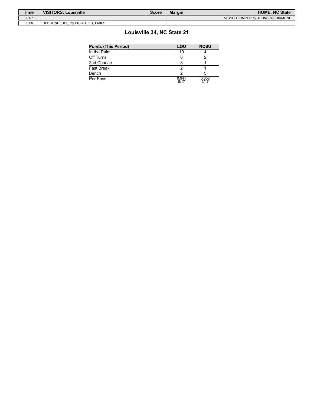| <b>Time</b> | <b>VISITORS: Louisville</b>      | Score | <b>Margin</b> | <b>HOME: NC State</b>             |
|-------------|----------------------------------|-------|---------------|-----------------------------------|
| 00:07       |                                  |       |               | MISSED JUMPER by JOHNSON, DIAMOND |
| 00:05       | REBOUND (DEF) by ENGSTLER, EMILY |       |               |                                   |

# **Louisville 34, NC State 21**

| <b>Points (This Period)</b> | LOU           | <b>NCSU</b>   |  |
|-----------------------------|---------------|---------------|--|
| In the Paint                | 10            |               |  |
| Off Turns                   |               |               |  |
| 2nd Chance                  |               |               |  |
| Fast Break                  |               |               |  |
| Bench                       |               |               |  |
| Per Poss                    | 0.941<br>8/17 | 0.353<br>3/17 |  |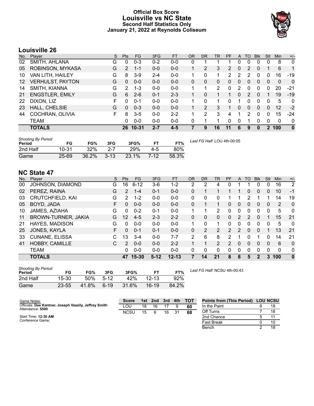### **Official Box Score Louisville vs NC State Second Half Statistics Only January 21, 2022 at Reynolds Coliseum**



# **Louisville 26**

| No. | Plaver                  | S  | <b>Pts</b>    | <b>FG</b> | 3FG     | <b>FT</b> | <b>OR</b> | <b>DR</b> | <b>TR</b>     | PF | A        | <b>TO</b> | <b>B</b> lk | Stl          | Min | $+/-$        |
|-----|-------------------------|----|---------------|-----------|---------|-----------|-----------|-----------|---------------|----|----------|-----------|-------------|--------------|-----|--------------|
| 02  | SMITH, AHLANA           | G  | 0             | $0 - 3$   | $0 - 2$ | $0 - 0$   | 0         |           |               |    | 0        | 0         | 0           | 0            | 8   | $\mathbf{0}$ |
| 05  | ROBINSON, MYKASA        | G  | $\mathcal{P}$ | $1 - 1$   | $0 - 0$ | $0 - 0$   |           | 2         | 3             | 2  | 0        | 2         | 0           |              | 6   | 1            |
| 10  | VAN LITH, HAILEY        | G  | 8             | $3-9$     | $2 - 4$ | $0 - 0$   |           | 0         |               | 2  | 2        | 2         | $\Omega$    | 0            | 16  | $-19$        |
| 12  | <b>VERHULST, PAYTON</b> | G  | $\Omega$      | $0 - 0$   | $0 - 0$ | $0 - 0$   | 0         | 0         | 0             | 0  | 0        | $\Omega$  | $\Omega$    | $\Omega$     | 0   | $\mathbf{0}$ |
| 14  | SMITH, KIANNA           | G  | 2             | $1 - 3$   | $0 - 0$ | $0 - 0$   |           | 1         | $\mathcal{P}$ | 0  | 2        | 0         | 0           | 0            | 20  | $-21$        |
| 21  | <b>ENGSTLER, EMILY</b>  | G  | 6             | $2-6$     | $0 - 1$ | $2 - 3$   |           | 0         |               |    | 0        | 2         | $\Omega$    |              | 19  | $-19$        |
| 22  | DIXON, LIZ              | F. | $\Omega$      | $0 - 1$   | $0 - 0$ | $0 - 0$   |           | 0         |               | 0  |          | 0         | 0           | 0            | 5   | $\mathbf{0}$ |
| 23  | HALL, CHELSIE           | G  | $\Omega$      | $0 - 3$   | $0 - 0$ | $0 - 0$   |           | 2         | 3             |    | $\Omega$ | $\Omega$  | 0           | $\Omega$     | 12  | $-2$         |
| 44  | COCHRAN, OLIVIA         | F. | 8             | $3 - 5$   | $0 - 0$ | $2 - 2$   |           | 2         | 3             | 4  |          | 2         | $\Omega$    | 0            | 15  | $-24$        |
|     | TEAM                    |    | 0             | $0 - 0$   | $0 - 0$ | $0 - 0$   | 0         | 1         |               | 0  | 0        |           | $\Omega$    | 0            | 0   | $\mathbf{0}$ |
|     | <b>TOTALS</b>           |    |               | 26 10-31  | $2 - 7$ | $4 - 5$   |           | 9         | 16            | 11 | 6        | 9         | $\Omega$    | $\mathbf{2}$ | 100 | $\mathbf{0}$ |

| <b>Shooting By Period</b><br>Period | FG        | FG%   | 3FG           | 3FG%      | FТ     | FT%   | Last FG Half: LOU 4th-00:05 |
|-------------------------------------|-----------|-------|---------------|-----------|--------|-------|-----------------------------|
| 2nd Half                            | $10 - 31$ | 32%   | -2-7          | 29%       | $4-5$  | 80%   |                             |
| Game                                | $25-69$   | 36.2% | $\sqrt{3-13}$ | $-23.1\%$ | $7-12$ | 58.3% |                             |

# **NC State 47**

| No. | Plaver                  | S  | <b>Pts</b>    | FG       | 3FG     | <b>FT</b> | <b>OR</b> | <b>DR</b> | TR       | PF            | A             | TO | <b>B</b> lk    | Stl | Min | $+/-$        |
|-----|-------------------------|----|---------------|----------|---------|-----------|-----------|-----------|----------|---------------|---------------|----|----------------|-----|-----|--------------|
| 00  | JOHNSON, DIAMOND        | G  | 16            | $6 - 12$ | $3-6$   | 1-2       | 2         | 2         | 4        | 0             |               |    | 0              | 0   | 16  | 2            |
| 02  | PEREZ, RAINA            | G  | $\mathcal{P}$ | $1 - 4$  | $0 - 1$ | $0 - 0$   | 0         |           |          |               |               | 0  | $\overline{0}$ | 0   | 10  | $-1$         |
| 03  | <b>CRUTCHFIELD, KAI</b> | G  | $\mathcal{P}$ | $1 - 2$  | $0 - 0$ | $0 - 0$   | 0         | 0         | 0        |               |               | 2  |                |     | 14  | 19           |
| 05  | BOYD, JADA              | F  | 0             | $0 - 0$  | $0 - 0$ | $0 - 0$   | 0         |           |          | $\Omega$      | 0             | 0  | $\overline{0}$ | 0   | 2   | $\Omega$     |
| 10  | JAMES, AZIAHA           | G  | 0             | $0 - 2$  | $0 - 1$ | $0 - 0$   | 1         |           | 2        | 0             | 0             | 0  | 0              | 0   | 5   | 0            |
| 11  | BROWN-TURNER, JAKIA     | G  | 12            | $4 - 5$  | $2 - 3$ | $2 - 2$   | 0         | 0         | $\Omega$ | 0             | 2             | 2  | 0              |     | 15  | 21           |
| 21  | <b>HAYES, MADISON</b>   | G  | 0             | $0 - 0$  | $0 - 0$ | $0 - 0$   | 1.        | 0         | 1.       | 0             | 0             | 0  | 0              | 0   | 5   | 0            |
| 25  | JONES, KAYLA            | F. | 0             | $0 - 1$  | $0 - 1$ | $0 - 0$   | $\Omega$  | 2         | 2        | $\mathcal{P}$ | $\mathcal{P}$ | 0  | $\Omega$       |     | 13  | 21           |
| 33  | <b>CUNANE, ELISSA</b>   | C  | 13            | 3-4      | $0 - 0$ | $7 - 7$   | 2         | 6         | 8        | $\mathcal{P}$ | 1             | 0  |                | 0   | 14  | 21           |
| 41  | <b>HOBBY, CAMILLE</b>   | C  | $\mathcal{P}$ | $0 - 0$  | $0 - 0$ | $2 - 2$   |           | 1         | 2        | $\mathcal{P}$ | $\Omega$      | 0  | $\Omega$       | 0   | 6   | $\Omega$     |
|     | <b>TEAM</b>             |    | 0             | $0 - 0$  | $0 - 0$ | $0 - 0$   | $\Omega$  | 0         | 0        | 0             | 0             | 0  | 0              | 0   | 0   | 0            |
|     | <b>TOTALS</b>           |    | 47            | 15-30    | $5-12$  | $12 - 13$ | 7         | 14        | 21       | 8             | 8             | 5  | 2              | 3   | 100 | $\mathbf{0}$ |

| <b>Shooting By Period</b><br>Period | FG    | FG%   | 3FG      | 3FG%  | FТ        | FT%   |
|-------------------------------------|-------|-------|----------|-------|-----------|-------|
| 2nd Half                            | 15-30 | 50%   | $5-12$   | 42%   | $12 - 13$ | 92%   |
| Game                                | 23-55 | 41.8% | $6 - 19$ | 31.6% | $16-19$   | 84.2% |

*Last FG Half:* NCSU 4th-00:43

Bench 2 18

| Game Notes:                                                               | <b>Score</b> | 1st | 2 <sub>nd</sub> | 3rd | 4th | <b>TOT</b> | <b>Points from (This Period)</b> | <b>LOU NCSU</b> |
|---------------------------------------------------------------------------|--------------|-----|-----------------|-----|-----|------------|----------------------------------|-----------------|
| Officials: Dee Kantner, Joseph Vaszily, Jeffrey Smith<br>Attendance: 5500 | _OU          | 18  | 16              |     |     | -60        | In the Paint                     |                 |
|                                                                           | <b>NCSU</b>  | 15  |                 | 16  | 31  | 68         | Off Turns                        |                 |
| Start Time: 12:30 AM                                                      |              |     |                 |     |     |            | 2nd Chance                       |                 |
| Conference Game:                                                          |              |     |                 |     |     |            | Fast Break                       |                 |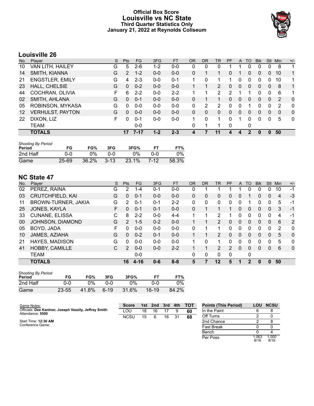### **Official Box Score Louisville vs NC State Third Quarter Statistics Only January 21, 2022 at Reynolds Coliseum**



# **Louisville 26**

| No. | Plaver                  | S | <b>Pts</b> | <b>FG</b> | 3FG     | <b>FT</b> | <b>OR</b>    | DR           | TR | PF | $\mathsf{A}$ | TO       | <b>B</b> lk | Stl          | Min | $+/-$        |
|-----|-------------------------|---|------------|-----------|---------|-----------|--------------|--------------|----|----|--------------|----------|-------------|--------------|-----|--------------|
| 10  | VAN LITH, HAILEY        | G | 5          | $2 - 6$   | 1-2     | $0 - 0$   | 0            | 0            | 0  |    |              | 0        | 0           | 0            | 8   | 1            |
| 14  | SMITH, KIANNA           | G | 2          | $1 - 2$   | $0 - 0$ | $0 - 0$   | 0            |              |    | 0  |              | $\Omega$ | 0           | 0            | 10  | $\mathbf{1}$ |
| 21  | <b>ENGSTLER, EMILY</b>  | G | 4          | $2 - 3$   | $0 - 0$ | $0 - 1$   |              | 0            |    |    | 0            | 0        | 0           | 0            | 10  | $\mathbf{1}$ |
| 23  | <b>HALL, CHELSIE</b>    | G | 0          | $0 - 2$   | $0 - 0$ | $0 - 0$   |              |              | 2  | 0  | 0            | 0        | 0           | 0            | 8   | $\mathbf{1}$ |
| 44  | COCHRAN, OLIVIA         | F | 6          | $2 - 2$   | $0 - 0$ | $2 - 2$   |              |              | 2  | 2  |              |          | 0           | 0            | 6   | 1            |
| 02  | SMITH, AHLANA           | G | $\Omega$   | $0 - 1$   | $0 - 0$ | $0 - 0$   | 0            |              |    | 0  | 0            | 0        | 0           | $\Omega$     | 2   | $\mathbf{0}$ |
| 05  | ROBINSON, MYKASA        | G | 0          | $0 - 0$   | $0 - 0$ | $0 - 0$   | 0            | 2            | 2  | 0  | 0            |          | 0           | 0            | 2   | $\Omega$     |
| 12  | <b>VERHULST, PAYTON</b> | G | 0          | $0 - 0$   | $0 - 0$ | $0 - 0$   | $\mathbf{0}$ | $\mathbf{0}$ | 0  | 0  | $\mathbf{0}$ | $\Omega$ | 0           | $\mathbf{0}$ | 0   | $\mathbf{0}$ |
| 22  | DIXON, LIZ              | F | 0          | $0 - 1$   | $0 - 0$ | $0 - 0$   | 1            | 0            | 1  | 0  | 1            | $\Omega$ | 0           | 0            | 5   | $\Omega$     |
|     | TEAM                    |   |            | $0-0$     |         |           | 0            |              | 1  | 0  |              | 0        |             |              |     |              |
|     | <b>TOTALS</b>           |   |            | $7 - 17$  | 1-2     | $2 - 3$   | 4            |              | 11 |    | 4            |          | 0           | 0            | 50  |              |

| <b>Shooting By Period</b><br>Period | FG    | FG%   | 3FG      | 3FG%  |        | FT%   |
|-------------------------------------|-------|-------|----------|-------|--------|-------|
| 2nd Half                            | ი-ი   | 0%    | ი-ი      | 0%    | ი-ი    | 0%    |
| Game                                | 25-69 | 36.2% | $3 - 13$ | 23.1% | $7-12$ | 58.3% |

# **NC State 47**

| No. | Plaver                  | S | Pts            | <b>FG</b> | 3FG     | <b>FT</b> | 0R       | DR | <b>TR</b>      | PF | A            | TO       | <b>Blk</b> | Stl          | Min | $+/-$       |
|-----|-------------------------|---|----------------|-----------|---------|-----------|----------|----|----------------|----|--------------|----------|------------|--------------|-----|-------------|
| 02  | PEREZ, RAINA            | G | 2              | $1 - 4$   | $0 - 1$ | $0 - 0$   | 0        |    |                |    |              | 0        | 0          | 0            | 10  | $-1$        |
| 03  | <b>CRUTCHFIELD, KAI</b> | G | 0              | $0 - 1$   | $0 - 0$ | $0 - 0$   | $\Omega$ | 0  | 0              | 0  | 0            |          | 0          | $\mathbf{0}$ | 4   | $-3$        |
| 11  | BROWN-TURNER, JAKIA     | G | 2              | $0 - 1$   | $0 - 1$ | $2 - 2$   | 0        | 0  | 0              | 0  | 0            |          | 0          | 0            | 5   | -1          |
| 25  | JONES, KAYLA            | F | 0              | $0 - 1$   | $0 - 1$ | $0 - 0$   | $\Omega$ |    | 1              |    | 0            | $\Omega$ | 0          | 0            | 3   | $-1$        |
| 33  | <b>CUNANE, ELISSA</b>   | С | 8              | $2 - 2$   | $0 - 0$ | $4 - 4$   | 1        |    | 2              |    | 0            | ∩        | 0          | 0            | 4   | $-1$        |
| 00  | JOHNSON, DIAMOND        | G | $\mathcal{P}$  | $1 - 5$   | $0 - 2$ | $0 - 0$   |          |    | $\overline{2}$ | 0  | $\mathbf{0}$ | $\Omega$ | $\Omega$   | $\mathbf{0}$ | 6   | 2           |
| 05  | BOYD, JADA              | F | 0              | $0 - 0$   | $0 - 0$ | $0 - 0$   | 0        |    | 1              | 0  | 0            | 0        | 0          | 0            | 2   | 0           |
| 10  | JAMES, AZIAHA           | G | $\Omega$       | $0 - 2$   | $0 - 1$ | $0 - 0$   |          |    | 2              | 0  | $\Omega$     | $\Omega$ | 0          | $\Omega$     | 5   | $\Omega$    |
| 21  | <b>HAYES, MADISON</b>   | G | 0              | $0 - 0$   | $0 - 0$ | $0 - 0$   |          | 0  | 1              | 0  | 0            | 0        | 0          | 0            | 5   | 0           |
| 41  | <b>HOBBY, CAMILLE</b>   | C | $\overline{2}$ | $0 - 0$   | $0 - 0$ | $2 - 2$   |          |    | $\overline{2}$ | 2  | 0            | $\Omega$ | 0          | 0            | 6   | $\mathbf 0$ |
|     | <b>TEAM</b>             |   |                | $0 - 0$   |         |           | 0        | 0  | 0              | 0  |              | 0        |            |              |     |             |
|     | <b>TOTALS</b>           |   | 16             | 4-16      | $0 - 6$ | $8 - 8$   | 5        | 7  | 12             | 5  |              | 2        | 0          | 0            | 50  |             |

| <b>Shooting By Period</b><br>Period | FG        | FG%   | 3FG    | 3FG%  | FТ        | FT%   |
|-------------------------------------|-----------|-------|--------|-------|-----------|-------|
| 2nd Half                            | 0-0       | ገ%    | 0-0    | 0%    | 0-0       | $0\%$ |
| Game                                | $23 - 55$ | 41.8% | $6-19$ | 31.6% | $16 - 19$ | 84.2% |

| Game Notes:                                                               | <b>Score</b> | 1st. | 2nd | 3rd | 4th | тот | <b>Points (This Period)</b> | <b>LOU</b>    | <b>NCSU</b>   |
|---------------------------------------------------------------------------|--------------|------|-----|-----|-----|-----|-----------------------------|---------------|---------------|
| Officials: Dee Kantner, Joseph Vaszily, Jeffrey Smith<br>Attendance: 5500 | LOU          | 18   | 16  |     | 9   | 60  | In the Paint                |               | 8             |
|                                                                           | <b>NCSU</b>  | 15   | 6   | 16  | 31  | 68  | Off Turns                   |               |               |
| Start Time: 12:30 AM                                                      |              |      |     |     |     |     | 2nd Chance                  |               |               |
| Conference Game;                                                          |              |      |     |     |     |     | <b>Fast Break</b>           |               |               |
|                                                                           |              |      |     |     |     |     | Bench                       |               |               |
|                                                                           |              |      |     |     |     |     | Per Poss                    | 1.063<br>8/16 | 1.000<br>8/16 |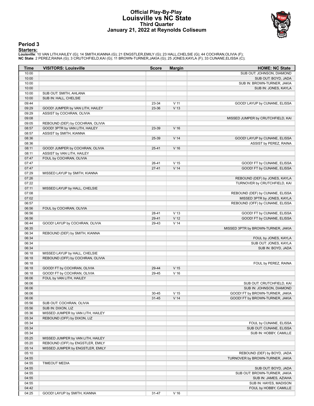#### **Official Play-By-Play Louisville vs NC State Third Quarter January 21, 2022 at Reynolds Coliseum**



#### **Period 3**

<mark>Starters :</mark><br>Louisville: 10 VAN LITH,HAILEY (G); 14 SMITH,KIANNA (G); 21 ENGSTLER,EMILY (G); 23 HALL,CHELSIE (G); 44 COCHRAN,OLIVIA (F);<br>**NC State**: 2 PEREZ,RAINA (G); 3 CRUTCHFIELD,KAI (G); 11 BROWN-TURNER,JAKIA (G); 25 J

| Time           | <b>VISITORS: Louisville</b>                                           | <b>Score</b> | <b>Margin</b>                      | <b>HOME: NC State</b>              |
|----------------|-----------------------------------------------------------------------|--------------|------------------------------------|------------------------------------|
| 10:00          |                                                                       |              |                                    | SUB OUT: JOHNSON, DIAMOND          |
| 10:00          |                                                                       |              |                                    | SUB OUT: BOYD, JADA                |
| 10:00          |                                                                       |              |                                    | SUB IN: BROWN-TURNER, JAKIA        |
| 10:00          |                                                                       |              |                                    | SUB IN: JONES, KAYLA               |
| 10:00          | SUB OUT: SMITH, AHLANA                                                |              |                                    |                                    |
| 10:00          | SUB IN: HALL, CHELSIE                                                 |              |                                    |                                    |
| 09:44          |                                                                       | 23-34        | $V$ 11                             | GOOD! LAYUP by CUNANE, ELISSA      |
| 09:29          | GOOD! JUMPER by VAN LITH, HAILEY                                      | 23-36        | V <sub>13</sub>                    |                                    |
| 09:29<br>09:08 | ASSIST by COCHRAN, OLIVIA                                             |              |                                    |                                    |
| 09:05          | REBOUND (DEF) by COCHRAN, OLIVIA                                      |              |                                    | MISSED JUMPER by CRUTCHFIELD, KAI  |
| 08:57          | GOOD! 3PTR by VAN LITH, HAILEY                                        | 23-39        | V <sub>16</sub>                    |                                    |
| 08:57          | ASSIST by SMITH, KIANNA                                               |              |                                    |                                    |
| 08:36          |                                                                       | 25-39        | V <sub>14</sub>                    | GOOD! LAYUP by CUNANE, ELISSA      |
| 08:36          |                                                                       |              |                                    | ASSIST by PEREZ, RAINA             |
| 08:11          | GOOD! JUMPER by COCHRAN, OLIVIA                                       | $25 - 41$    | V <sub>16</sub>                    |                                    |
| 08:11          | ASSIST by VAN LITH, HAILEY                                            |              |                                    |                                    |
| 07:47          | FOUL by COCHRAN, OLIVIA                                               |              |                                    |                                    |
| 07:47          |                                                                       | 26-41        | V <sub>15</sub>                    | GOOD! FT by CUNANE, ELISSA         |
| 07:47          |                                                                       | $27-41$      | V <sub>14</sub>                    | GOOD! FT by CUNANE, ELISSA         |
| 07:29          | MISSED LAYUP by SMITH, KIANNA                                         |              |                                    |                                    |
| 07:26          |                                                                       |              |                                    | REBOUND (DEF) by JONES, KAYLA      |
| 07:22          |                                                                       |              |                                    | TURNOVER by CRUTCHFIELD, KAI       |
| 07:11          | MISSED LAYUP by HALL, CHELSIE                                         |              |                                    |                                    |
| 07:08          |                                                                       |              |                                    | REBOUND (DEF) by CUNANE, ELISSA    |
| 07:02          |                                                                       |              |                                    | MISSED 3PTR by JONES, KAYLA        |
| 06:57          |                                                                       |              |                                    | REBOUND (OFF) by CUNANE, ELISSA    |
| 06:56          | FOUL by COCHRAN, OLIVIA                                               |              |                                    |                                    |
| 06:56          |                                                                       | 28-41        | V <sub>13</sub>                    | GOOD! FT by CUNANE, ELISSA         |
| 06:56          |                                                                       | 29-41        | V <sub>12</sub><br>V <sub>14</sub> | GOOD! FT by CUNANE, ELISSA         |
| 06:44<br>06:35 | GOOD! LAYUP by COCHRAN, OLIVIA                                        | 29-43        |                                    | MISSED 3PTR by BROWN-TURNER, JAKIA |
| 06:34          | REBOUND (DEF) by SMITH, KIANNA                                        |              |                                    |                                    |
| 06:34          |                                                                       |              |                                    | FOUL by JONES, KAYLA               |
| 06:34          |                                                                       |              |                                    | SUB OUT: JONES, KAYLA              |
| 06:34          |                                                                       |              |                                    | SUB IN: BOYD, JADA                 |
| 06:18          | MISSED LAYUP by HALL, CHELSIE                                         |              |                                    |                                    |
| 06:18          | REBOUND (OFF) by COCHRAN, OLIVIA                                      |              |                                    |                                    |
| 06:18          |                                                                       |              |                                    | FOUL by PEREZ, RAINA               |
| 06:18          | GOOD! FT by COCHRAN, OLIVIA                                           | 29-44        | V <sub>15</sub>                    |                                    |
| 06:18          | GOOD! FT by COCHRAN, OLIVIA                                           | 29-45        | $V$ 16                             |                                    |
| 06:06          | FOUL by VAN LITH, HAILEY                                              |              |                                    |                                    |
| 06:06          |                                                                       |              |                                    | SUB OUT: CRUTCHFIELD, KAI          |
| 06:06          |                                                                       |              |                                    | SUB IN: JOHNSON, DIAMOND           |
| 06:06          |                                                                       | $30 - 45$    | V 15                               | GOOD! FT by BROWN-TURNER, JAKIA    |
| 06:06          |                                                                       | $31 - 45$    | V <sub>14</sub>                    | GOOD! FT by BROWN-TURNER, JAKIA    |
| 05:56          | SUB OUT: COCHRAN, OLIVIA                                              |              |                                    |                                    |
| 05:56          | SUB IN: DIXON, LIZ                                                    |              |                                    |                                    |
| 05:36          | MISSED JUMPER by VAN LITH, HAILEY                                     |              |                                    |                                    |
| 05:34          | REBOUND (OFF) by DIXON, LIZ                                           |              |                                    |                                    |
| 05:34          |                                                                       |              |                                    | FOUL by CUNANE, ELISSA             |
| 05:34          |                                                                       |              |                                    | SUB OUT: CUNANE, ELISSA            |
| 05:34          |                                                                       |              |                                    | SUB IN: HOBBY, CAMILLE             |
| 05:25<br>05:20 | MISSED JUMPER by VAN LITH, HAILEY<br>REBOUND (OFF) by ENGSTLER, EMILY |              |                                    |                                    |
| 05:14          | MISSED JUMPER by ENGSTLER, EMILY                                      |              |                                    |                                    |
| 05:10          |                                                                       |              |                                    | REBOUND (DEF) by BOYD, JADA        |
| 04:55          |                                                                       |              |                                    | TURNOVER by BROWN-TURNER, JAKIA    |
| 04:55          | <b>TIMEOUT MEDIA</b>                                                  |              |                                    |                                    |
| 04:55          |                                                                       |              |                                    | SUB OUT: BOYD, JADA                |
| 04:55          |                                                                       |              |                                    | SUB OUT: BROWN-TURNER, JAKIA       |
| 04:55          |                                                                       |              |                                    | SUB IN: JAMES, AZIAHA              |
| 04:55          |                                                                       |              |                                    | SUB IN: HAYES, MADISON             |
| 04:42          |                                                                       |              |                                    | FOUL by HOBBY, CAMILLE             |
| 04:25          | GOOD! LAYUP by SMITH, KIANNA                                          | 31-47        | V <sub>16</sub>                    |                                    |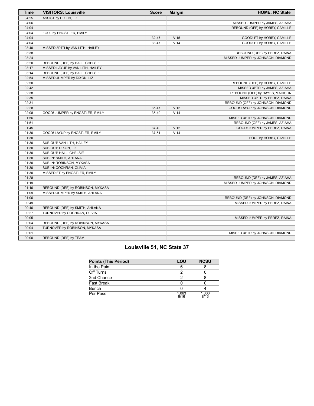| Time  | <b>VISITORS: Louisville</b>       | <b>Score</b> | <b>Margin</b>   | <b>HOME: NC State</b>             |
|-------|-----------------------------------|--------------|-----------------|-----------------------------------|
| 04:25 | ASSIST by DIXON, LIZ              |              |                 |                                   |
| 04:06 |                                   |              |                 | MISSED JUMPER by JAMES, AZIAHA    |
| 04:04 |                                   |              |                 | REBOUND (OFF) by HOBBY, CAMILLE   |
| 04:04 | FOUL by ENGSTLER, EMILY           |              |                 |                                   |
| 04:04 |                                   | 32-47        | V <sub>15</sub> | GOOD! FT by HOBBY, CAMILLE        |
| 04:04 |                                   | 33-47        | V <sub>14</sub> | GOOD! FT by HOBBY, CAMILLE        |
| 03:40 | MISSED 3PTR by VAN LITH, HAILEY   |              |                 |                                   |
| 03:38 |                                   |              |                 | REBOUND (DEF) by PEREZ, RAINA     |
| 03:24 |                                   |              |                 | MISSED JUMPER by JOHNSON, DIAMOND |
| 03:20 | REBOUND (DEF) by HALL, CHELSIE    |              |                 |                                   |
| 03:17 | MISSED LAYUP by VAN LITH, HAILEY  |              |                 |                                   |
| 03:14 | REBOUND (OFF) by HALL, CHELSIE    |              |                 |                                   |
| 02:54 | MISSED JUMPER by DIXON, LIZ       |              |                 |                                   |
| 02:50 |                                   |              |                 | REBOUND (DEF) by HOBBY, CAMILLE   |
| 02:42 |                                   |              |                 | MISSED 3PTR by JAMES, AZIAHA      |
| 02:38 |                                   |              |                 | REBOUND (OFF) by HAYES, MADISON   |
| 02:35 |                                   |              |                 | MISSED 3PTR by PEREZ, RAINA       |
| 02:31 |                                   |              |                 | REBOUND (OFF) by JOHNSON, DIAMOND |
| 02:28 |                                   | 35-47        | V <sub>12</sub> | GOOD! LAYUP by JOHNSON, DIAMOND   |
| 02:08 | GOOD! JUMPER by ENGSTLER, EMILY   | 35-49        | V <sub>14</sub> |                                   |
| 01:56 |                                   |              |                 | MISSED 3PTR by JOHNSON, DIAMOND   |
| 01:51 |                                   |              |                 | REBOUND (OFF) by JAMES, AZIAHA    |
| 01:45 |                                   | 37-49        | V <sub>12</sub> | GOOD! JUMPER by PEREZ, RAINA      |
| 01:30 | GOOD! LAYUP by ENGSTLER, EMILY    | 37-51        | V <sub>14</sub> |                                   |
| 01:30 |                                   |              |                 | FOUL by HOBBY, CAMILLE            |
| 01:30 | SUB OUT: VAN LITH, HAILEY         |              |                 |                                   |
| 01:30 | SUB OUT: DIXON, LIZ               |              |                 |                                   |
| 01:30 | SUB OUT: HALL, CHELSIE            |              |                 |                                   |
| 01:30 | SUB IN: SMITH, AHLANA             |              |                 |                                   |
| 01:30 | SUB IN: ROBINSON, MYKASA          |              |                 |                                   |
| 01:30 | SUB IN: COCHRAN, OLIVIA           |              |                 |                                   |
| 01:30 | MISSED FT by ENGSTLER, EMILY      |              |                 |                                   |
| 01:28 |                                   |              |                 | REBOUND (DEF) by JAMES, AZIAHA    |
| 01:19 |                                   |              |                 | MISSED JUMPER by JOHNSON, DIAMOND |
| 01:16 | REBOUND (DEF) by ROBINSON, MYKASA |              |                 |                                   |
| 01:09 | MISSED JUMPER by SMITH, AHLANA    |              |                 |                                   |
| 01:06 |                                   |              |                 | REBOUND (DEF) by JOHNSON, DIAMOND |
| 00:49 |                                   |              |                 | MISSED JUMPER by PEREZ, RAINA     |
| 00:46 | REBOUND (DEF) by SMITH, AHLANA    |              |                 |                                   |
| 00:27 | TURNOVER by COCHRAN, OLIVIA       |              |                 |                                   |
| 00:05 |                                   |              |                 | MISSED JUMPER by PEREZ, RAINA     |
| 00:04 | REBOUND (DEF) by ROBINSON, MYKASA |              |                 |                                   |
| 00:04 | TURNOVER by ROBINSON, MYKASA      |              |                 |                                   |
| 00:01 |                                   |              |                 | MISSED 3PTR by JOHNSON, DIAMOND   |
| 00:00 | REBOUND (DEF) by TEAM             |              |                 |                                   |

# **Louisville 51, NC State 37**

| <b>Points (This Period)</b> | LOU           | <b>NCSU</b>   |
|-----------------------------|---------------|---------------|
| In the Paint                |               |               |
| Off Turns                   |               |               |
| 2nd Chance                  |               |               |
| Fast Break                  |               |               |
| Bench                       |               |               |
| Per Poss                    | 1.063<br>8/16 | 1.000<br>8/16 |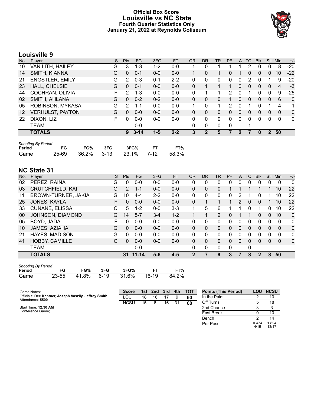### **Official Box Score Louisville vs NC State Fourth Quarter Statistics Only January 21, 2022 at Reynolds Coliseum**



# **Louisville 9**

| No. | Plaver                  | S  | <b>Pts</b> | <b>FG</b> | 3FG     | <b>FT</b> | 0R | DR | TR           | PF | A        | TO       | <b>Blk</b> | Stl | Min      | $+/-$          |
|-----|-------------------------|----|------------|-----------|---------|-----------|----|----|--------------|----|----------|----------|------------|-----|----------|----------------|
| 10  | VAN LITH, HAILEY        | G  | 3          | 1-3       | 1-2     | $0-0$     |    | 0  |              |    |          | 2        | 0          | 0   | 8        | $-20$          |
| 14  | SMITH, KIANNA           | G  | 0          | $0 - 1$   | $0 - 0$ | $0 - 0$   |    | 0  | 1            | 0  |          | 0        | 0          | 0   | 10       | $-22$          |
| 21  | <b>ENGSTLER, EMILY</b>  | G  | 2          | $0 - 3$   | $0 - 1$ | $2 - 2$   | 0  | 0  | 0            | 0  | 0        |          |            |     | 9        | $-20$          |
| 23  | HALL, CHELSIE           | G  | 0          | $0 - 1$   | $0-0$   | $0-0$     | 0  |    |              |    | 0        | 0        | 0          | 0   | 4        | $-3$           |
| 44  | COCHRAN, OLIVIA         | F. | 2          | $1 - 3$   | $0 - 0$ | $0 - 0$   | 0  |    |              | 2  | 0        |          | 0          | 0   | 9        | $-25$          |
| 02  | SMITH, AHLANA           | G  | 0          | $0 - 2$   | $0 - 2$ | $0-0$     | 0  | 0  | 0            |    | $\Omega$ | $\Omega$ | 0          | 0   | 6        | $\overline{0}$ |
| 05  | ROBINSON, MYKASA        | G  | 2          | 1-1       | $0 - 0$ | $0 - 0$   | 1  | 0  | 1            | 2  | 0        |          |            |     | 4        | 1              |
| 12  | <b>VERHULST, PAYTON</b> | G  | 0          | $0 - 0$   | $0 - 0$ | $0-0$     | 0  | 0  | 0            | 0  | $\Omega$ | $\Omega$ | 0          | 0   | $\Omega$ | $\mathbf{0}$   |
| 22  | DIXON, LIZ              | F  | 0          | $0 - 0$   | $0-0$   | $0-0$     | 0  | 0  | $\mathbf{0}$ | 0  | $\Omega$ | 0        | 0          | 0   | $\Omega$ | $\mathbf{0}$   |
|     | TEAM                    |    |            | $0-0$     |         |           | 0  | 0  | 0            | 0  |          |          |            |     |          |                |
|     | <b>TOTALS</b>           |    | 9          | $3 - 14$  | $1 - 5$ | $2 - 2$   |    | 2  | 5            |    | 7        |          |            | 2   | 50       |                |

| <b>Shooting By Period</b> |    |     |     |                             |       |
|---------------------------|----|-----|-----|-----------------------------|-------|
| Period                    | FG | FG% | 3FG | 3FG%                        | FT%   |
| Game                      |    |     |     | 25-69 36.2% 3-13 23.1% 7-12 | 58.3% |

# **NC State 31**

| No. | Plaver                  | S  | <b>Pts</b>     | <b>FG</b> | 3FG     | <b>FT</b> | <b>OR</b> | <b>DR</b> | TR             | PF | A             | TO       | <b>B</b> lk | <b>Stl</b> | Min      | $+/-$        |
|-----|-------------------------|----|----------------|-----------|---------|-----------|-----------|-----------|----------------|----|---------------|----------|-------------|------------|----------|--------------|
| 02  | PEREZ, RAINA            | G  | 0              | $0 - 0$   | $0 - 0$ | $0-0$     | 0         | 0         | 0              | 0  | 0             |          | 0           | 0          | 0        | $\mathbf{0}$ |
| 03  | <b>CRUTCHFIELD, KAI</b> | G  | $\overline{2}$ | $1 - 1$   | $0 - 0$ | $0 - 0$   | 0         | 0         | 0              |    |               |          |             |            | 10       | 22           |
| 11  | BROWN-TURNER, JAKIA     | G  | 10             | $4 - 4$   | $2 - 2$ | $0 - 0$   | 0         | 0         | 0              | 0  | 2             |          | 0           |            | 10       | 22           |
| 25  | JONES, KAYLA            | F. | 0              | $0 - 0$   | $0 - 0$ | $0 - 0$   | 0         |           | 1              | 1  | $\mathcal{P}$ | $\Omega$ | $\Omega$    |            | 10       | 22           |
| 33  | <b>CUNANE, ELISSA</b>   | C  | 5              | $1 - 2$   | $0 - 0$ | $3-3$     | 1         | 5         | 6              |    |               | 0        |             | 0          | 10       | 22           |
| 00  | JOHNSON, DIAMOND        | G  | 14             | $5 - 7$   | $3 - 4$ | $1 - 2$   |           |           | $\overline{2}$ | 0  |               | 1        | $\Omega$    | 0          | 10       | $\mathbf{0}$ |
| 05  | BOYD, JADA              | F  | 0              | $0 - 0$   | $0 - 0$ | $0 - 0$   | $\Omega$  | 0         | 0              | 0  | $\Omega$      | 0        | 0           | 0          | $\Omega$ | 0            |
| 10  | JAMES, AZIAHA           | G  | $\Omega$       | $0 - 0$   | $0 - 0$ | $0 - 0$   | 0         | 0         | 0              | 0  | 0             | 0        | 0           | 0          | $\Omega$ | $\mathbf 0$  |
| 21  | <b>HAYES, MADISON</b>   | G  | <sup>0</sup>   | $0 - 0$   | $0 - 0$ | $0 - 0$   | 0         | 0         | 0              | 0  | 0             | 0        | O           | 0          | 0        | 0            |
| 41  | <b>HOBBY, CAMILLE</b>   | С  | $\Omega$       | $0 - 0$   | $0 - 0$ | $0 - 0$   | 0         | 0         | 0              | 0  | 0             | 0        | 0           | 0          | $\Omega$ | $\mathbf 0$  |
|     | <b>TEAM</b>             |    |                | $0 - 0$   |         |           | 0         | 0         | 0              | 0  |               | 0        |             |            |          |              |
|     | <b>TOTALS</b>           |    | 31             | $11 - 14$ | $5-6$   | $4 - 5$   | 2         | 7         | 9              | 3  | 7             | 3        | 2           | 3          | 50       |              |

| <b>Shooting By Period</b> |       |       |      |       |       |       |  |  |  |  |  |
|---------------------------|-------|-------|------|-------|-------|-------|--|--|--|--|--|
| Period                    | FG    | FG%   | 3FG  | 3FG%  | FТ    | FT%   |  |  |  |  |  |
| Game                      | 23-55 | 41.8% | ճ-19 | 31.6% | 16-19 | 84.2% |  |  |  |  |  |

| Game Notes:                                                               | <b>Score</b> | 1st | 2nd | 3rd | 4th | тот | <b>Points (This Period)</b> | <b>LOU</b> | <b>NCSU</b> |
|---------------------------------------------------------------------------|--------------|-----|-----|-----|-----|-----|-----------------------------|------------|-------------|
| Officials: Dee Kantner, Joseph Vaszily, Jeffrey Smith<br>Attendance: 5500 | LOU          | 18  | 16  |     |     | 60  | In the Paint                |            | 10          |
|                                                                           | <b>NCSU</b>  | 15  |     | 16  | 31  | 68  | Off Turns                   |            | 18          |
| Start Time: 12:30 AM                                                      |              |     |     |     |     |     | 2nd Chance                  |            |             |
| Conference Game:                                                          |              |     |     |     |     |     | <b>Fast Break</b>           |            | 10          |
|                                                                           |              |     |     |     |     |     | Bench                       |            | 14          |

Per Poss

 $\frac{6}{1}$ <br> $\frac{1}{4/19}$ 

1.824 13/17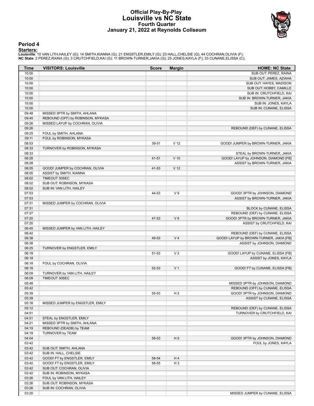#### **Official Play-By-Play Louisville vs NC State Fourth Quarter January 21, 2022 at Reynolds Coliseum**



#### **Period 4**

<mark>Starters :</mark><br>Louisville: 10 VAN LITH,HAILEY (G); 14 SMITH,KIANNA (G); 21 ENGSTLER,EMILY (G); 23 HALL,CHELSIE (G); 44 COCHRAN,OLIVIA (F);<br>**NC State**: 2 PEREZ,RAINA (G); 3 CRUTCHFIELD,KAI (G); 11 BROWN-TURNER,JAKIA (G); 25 J

| Time           | <b>VISITORS: Louisville</b>                   | <b>Score</b> | <b>Margin</b>   | <b>HOME: NC State</b>                   |
|----------------|-----------------------------------------------|--------------|-----------------|-----------------------------------------|
| 10:00          |                                               |              |                 | SUB OUT: PEREZ, RAINA                   |
| 10:00          |                                               |              |                 | SUB OUT: JAMES, AZIAHA                  |
| 10:00          |                                               |              |                 | SUB OUT: HAYES, MADISON                 |
| 10:00          |                                               |              |                 | SUB OUT: HOBBY, CAMILLE                 |
| 10:00          |                                               |              |                 | SUB IN: CRUTCHFIELD, KAI                |
| 10:00          |                                               |              |                 | SUB IN: BROWN-TURNER, JAKIA             |
| 10:00          |                                               |              |                 | SUB IN: JONES, KAYLA                    |
| 10:00          |                                               |              |                 | SUB IN: CUNANE, ELISSA                  |
| 09:48          | MISSED 3PTR by SMITH, AHLANA                  |              |                 |                                         |
| 09:45          | REBOUND (OFF) by ROBINSON, MYKASA             |              |                 |                                         |
| 09:26          | MISSED LAYUP by COCHRAN, OLIVIA               |              |                 |                                         |
| 09:26          |                                               |              |                 | REBOUND (DEF) by CUNANE, ELISSA         |
| 09:25          | FOUL by SMITH, AHLANA                         |              |                 |                                         |
| 09:11<br>08:53 | FOUL by ROBINSON, MYKASA                      |              |                 |                                         |
| 08:33          | TURNOVER by ROBINSON, MYKASA                  | 39-51        | V <sub>12</sub> | GOOD! JUMPER by BROWN-TURNER, JAKIA     |
| 08:33          |                                               |              |                 | STEAL by BROWN-TURNER, JAKIA            |
| 08:28          |                                               | 41-51        | $V$ 10          | GOOD! LAYUP by JOHNSON, DIAMOND [FB]    |
| 08:28          |                                               |              |                 | ASSIST by BROWN-TURNER, JAKIA           |
| 08:05          | GOOD! JUMPER by COCHRAN, OLIVIA               | 41-53        | V <sub>12</sub> |                                         |
| 08:05          | ASSIST by SMITH, KIANNA                       |              |                 |                                         |
| 08:02          | TIMEOUT 30SEC                                 |              |                 |                                         |
| 08:02          | SUB OUT: ROBINSON, MYKASA                     |              |                 |                                         |
| 08:02          | SUB IN: VAN LITH, HAILEY                      |              |                 |                                         |
| 07:53          |                                               | 44-53        | V <sub>9</sub>  | GOOD! 3PTR by JOHNSON, DIAMOND          |
| 07:53          |                                               |              |                 | ASSIST by BROWN-TURNER, JAKIA           |
| 07:31          | MISSED JUMPER by COCHRAN, OLIVIA              |              |                 |                                         |
| 07:31          |                                               |              |                 | BLOCK by CUNANE, ELISSA                 |
| 07:27          |                                               |              |                 | REBOUND (DEF) by CUNANE, ELISSA         |
| 07:20          |                                               | 47-53        | $V_6$           | GOOD! 3PTR by BROWN-TURNER, JAKIA       |
| 07:20          |                                               |              |                 | ASSIST by CRUTCHFIELD, KAI              |
| 06:45          | MISSED JUMPER by VAN LITH, HAILEY             |              |                 |                                         |
| 06:42          |                                               |              |                 | REBOUND (DEF) by CUNANE, ELISSA         |
| 06:38          |                                               | 49-53        | V <sub>4</sub>  | GOOD! LAYUP by BROWN-TURNER, JAKIA [FB] |
| 06:38          |                                               |              |                 | ASSIST by JOHNSON, DIAMOND              |
| 06:25          | TURNOVER by ENGSTLER, EMILY                   |              |                 |                                         |
| 06:18          |                                               | 51-53        | V <sub>2</sub>  | GOOD! LAYUP by CUNANE, ELISSA [FB]      |
| 06:18          |                                               |              |                 | ASSIST by JONES, KAYLA                  |
| 06:18          | FOUL by COCHRAN, OLIVIA                       |              |                 |                                         |
| 06:18          |                                               | 52-53        | V <sub>1</sub>  | GOOD! FT by CUNANE, ELISSA [FB]         |
| 06:09          | TURNOVER by VAN LITH, HAILEY<br>TIMEOUT 30SEC |              |                 |                                         |
| 06:09<br>05:48 |                                               |              |                 | MISSED 3PTR by JOHNSON, DIAMOND         |
| 05:42          |                                               |              |                 | REBOUND (OFF) by CUNANE, ELISSA         |
| 05:39          |                                               | 55-53        | H <sub>2</sub>  | GOOD! 3PTR by JOHNSON, DIAMOND          |
| 05:39          |                                               |              |                 | ASSIST by CUNANE, ELISSA                |
| 05:16          | MISSED JUMPER by ENGSTLER, EMILY              |              |                 |                                         |
| 05:12          |                                               |              |                 | REBOUND (DEF) by CUNANE, ELISSA         |
| 04:51          |                                               |              |                 | TURNOVER by CRUTCHFIELD, KAI            |
| 04:51          | STEAL by ENGSTLER, EMILY                      |              |                 |                                         |
| 04:21          | MISSED 3PTR by SMITH, AHLANA                  |              |                 |                                         |
| 04:19          | REBOUND (DEADB) by TEAM                       |              |                 |                                         |
| 04:19          | TURNOVER by TEAM                              |              |                 |                                         |
| 04:04          |                                               | 58-53        | H <sub>5</sub>  | GOOD! 3PTR by JOHNSON, DIAMOND          |
| 03:42          |                                               |              |                 | FOUL by JONES, KAYLA                    |
| 03:42          | SUB OUT: SMITH, AHLANA                        |              |                 |                                         |
| 03:42          | SUB IN: HALL, CHELSIE                         |              |                 |                                         |
| 03:42          | GOOD! FT by ENGSTLER, EMILY                   | 58-54        | H4              |                                         |
| 03:42          | GOOD! FT by ENGSTLER, EMILY                   | 58-55        | H <sub>3</sub>  |                                         |
| 03:42          | SUB OUT: COCHRAN, OLIVIA                      |              |                 |                                         |
| 03:42          | SUB IN: ROBINSON, MYKASA                      |              |                 |                                         |
| 03:26          | FOUL by VAN LITH, HAILEY                      |              |                 |                                         |
| 03:26          | SUB OUT: ROBINSON, MYKASA                     |              |                 |                                         |
| 03:26          | SUB IN: COCHRAN, OLIVIA                       |              |                 |                                         |
| 03:20          |                                               |              |                 | MISSED JUMPER by CUNANE, ELISSA         |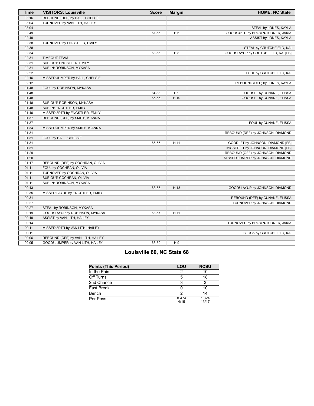| <b>Time</b> | <b>VISITORS: Louisville</b>       | <b>Score</b> | <b>Margin</b>  | <b>HOME: NC State</b>                |
|-------------|-----------------------------------|--------------|----------------|--------------------------------------|
| 03:16       | REBOUND (DEF) by HALL, CHELSIE    |              |                |                                      |
| 03:04       | TURNOVER by VAN LITH, HAILEY      |              |                |                                      |
| 03:04       |                                   |              |                | STEAL by JONES, KAYLA                |
| 02:49       |                                   | 61-55        | H <sub>6</sub> | GOOD! 3PTR by BROWN-TURNER, JAKIA    |
| 02:49       |                                   |              |                | ASSIST by JONES, KAYLA               |
| 02:38       | TURNOVER by ENGSTLER, EMILY       |              |                |                                      |
| 02:38       |                                   |              |                | STEAL by CRUTCHFIELD, KAI            |
| 02:34       |                                   | 63-55        | H 8            | GOOD! LAYUP by CRUTCHFIELD, KAI [FB] |
| 02:31       | <b>TIMEOUT TEAM</b>               |              |                |                                      |
| 02:31       | SUB OUT: ENGSTLER, EMILY          |              |                |                                      |
| 02:31       | SUB IN: ROBINSON, MYKASA          |              |                |                                      |
| 02:22       |                                   |              |                | FOUL by CRUTCHFIELD, KAI             |
| 02:16       | MISSED JUMPER by HALL, CHELSIE    |              |                |                                      |
| 02:12       |                                   |              |                | REBOUND (DEF) by JONES, KAYLA        |
| 01:48       | FOUL by ROBINSON, MYKASA          |              |                |                                      |
| 01:48       |                                   | 64-55        | H9             | GOOD! FT by CUNANE, ELISSA           |
| 01:48       |                                   | 65-55        | H 10           | GOOD! FT by CUNANE, ELISSA           |
| 01:48       | SUB OUT: ROBINSON, MYKASA         |              |                |                                      |
| 01:48       | SUB IN: ENGSTLER, EMILY           |              |                |                                      |
| 01:40       | MISSED 3PTR by ENGSTLER, EMILY    |              |                |                                      |
| 01:37       | REBOUND (OFF) by SMITH, KIANNA    |              |                |                                      |
| 01:37       |                                   |              |                | FOUL by CUNANE, ELISSA               |
| 01:34       | MISSED JUMPER by SMITH, KIANNA    |              |                |                                      |
| 01:31       |                                   |              |                | REBOUND (DEF) by JOHNSON, DIAMOND    |
| 01:31       | FOUL by HALL, CHELSIE             |              |                |                                      |
| 01:31       |                                   | 66-55        | H 11           | GOOD! FT by JOHNSON, DIAMOND [FB]    |
| 01:31       |                                   |              |                | MISSED FT by JOHNSON, DIAMOND [FB]   |
| 01:29       |                                   |              |                | REBOUND (OFF) by JOHNSON, DIAMOND    |
| 01:20       |                                   |              |                | MISSED JUMPER by JOHNSON, DIAMOND    |
| 01:17       | REBOUND (DEF) by COCHRAN, OLIVIA  |              |                |                                      |
| 01:11       | FOUL by COCHRAN, OLIVIA           |              |                |                                      |
| 01:11       | TURNOVER by COCHRAN, OLIVIA       |              |                |                                      |
| 01:11       | SUB OUT: COCHRAN, OLIVIA          |              |                |                                      |
| 01:11       | SUB IN: ROBINSON, MYKASA          |              |                |                                      |
| 00:43       |                                   | 68-55        | H 13           | GOOD! LAYUP by JOHNSON, DIAMOND      |
| 00:35       | MISSED LAYUP by ENGSTLER, EMILY   |              |                |                                      |
| 00:31       |                                   |              |                | REBOUND (DEF) by CUNANE, ELISSA      |
| 00:27       |                                   |              |                | TURNOVER by JOHNSON, DIAMOND         |
| 00:27       | STEAL by ROBINSON, MYKASA         |              |                |                                      |
| 00:19       | GOOD! LAYUP by ROBINSON, MYKASA   | 68-57        | H 11           |                                      |
| 00:19       | ASSIST by VAN LITH, HAILEY        |              |                |                                      |
| 00:14       |                                   |              |                | TURNOVER by BROWN-TURNER, JAKIA      |
| 00:11       | MISSED 3PTR by VAN LITH, HAILEY   |              |                |                                      |
| 00:11       |                                   |              |                | BLOCK by CRUTCHFIELD, KAI            |
| 00:06       | REBOUND (OFF) by VAN LITH, HAILEY |              |                |                                      |
| 00:05       | GOOD! JUMPER by VAN LITH, HAILEY  | 68-59        | H 9            |                                      |

# **Louisville 60, NC State 68**

| Points (This Period) | LOU           | <b>NCSU</b>    |
|----------------------|---------------|----------------|
| In the Paint         |               | 10             |
| Off Turns            |               | 18             |
| 2nd Chance           |               |                |
| Fast Break           |               | 10             |
| Bench                |               | 14             |
| Per Poss             | 0.474<br>4/19 | 1.824<br>13/17 |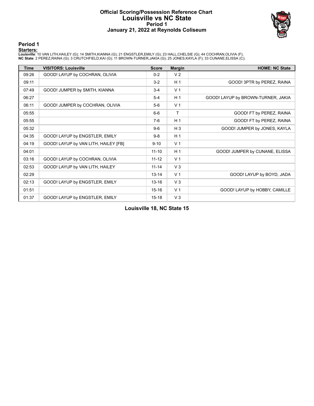#### **Official Scoring/Possession Reference Chart Louisville vs NC State Period 1 January 21, 2022 at Reynolds Coliseum**



**Period 1**

<mark>Starters :</mark><br>Louisville: 10 VAN LITH,HAILEY (G); 14 SMITH,KIANNA (G); 21 ENGSTLER,EMILY (G); 23 HALL,CHELSIE (G); 44 COCHRAN,OLIVIA (F);<br>**NC State**: 2 PEREZ,RAINA (G); 3 CRUTCHFIELD,KAI (G); 11 BROWN-TURNER,JAKIA (G); 25 J

| <b>Time</b> | <b>VISITORS: Louisville</b>          | <b>Score</b> | <b>Margin</b>  | <b>HOME: NC State</b>              |
|-------------|--------------------------------------|--------------|----------------|------------------------------------|
| 09:26       | GOOD! LAYUP by COCHRAN, OLIVIA       | $0 - 2$      | V <sub>2</sub> |                                    |
| 09:11       |                                      | $3-2$        | H <sub>1</sub> | GOOD! 3PTR by PEREZ, RAINA         |
| 07:49       | GOOD! JUMPER by SMITH, KIANNA        | $3-4$        | V <sub>1</sub> |                                    |
| 06:27       |                                      | $5 - 4$      | H <sub>1</sub> | GOOD! LAYUP by BROWN-TURNER, JAKIA |
| 06:11       | GOOD! JUMPER by COCHRAN, OLIVIA      | $5-6$        | V <sub>1</sub> |                                    |
| 05:55       |                                      | $6-6$        | Τ              | GOOD! FT by PEREZ, RAINA           |
| 05:55       |                                      | $7-6$        | H <sub>1</sub> | GOOD! FT by PEREZ, RAINA           |
| 05:32       |                                      | $9-6$        | $H_3$          | GOOD! JUMPER by JONES, KAYLA       |
| 04:35       | GOOD! LAYUP by ENGSTLER, EMILY       | $9 - 8$      | H <sub>1</sub> |                                    |
| 04:19       | GOOD! LAYUP by VAN LITH, HAILEY [FB] | $9 - 10$     | V <sub>1</sub> |                                    |
| 04:01       |                                      | $11 - 10$    | H <sub>1</sub> | GOOD! JUMPER by CUNANE, ELISSA     |
| 03:16       | GOOD! LAYUP by COCHRAN, OLIVIA       | $11 - 12$    | V <sub>1</sub> |                                    |
| 02:53       | GOOD! LAYUP by VAN LITH, HAILEY      | $11 - 14$    | V <sub>3</sub> |                                    |
| 02:29       |                                      | $13 - 14$    | V <sub>1</sub> | GOOD! LAYUP by BOYD, JADA          |
| 02:13       | GOOD! LAYUP by ENGSTLER, EMILY       | $13 - 16$    | $V_3$          |                                    |
| 01:51       |                                      | $15 - 16$    | V <sub>1</sub> | GOOD! LAYUP by HOBBY, CAMILLE      |
| 01:37       | GOOD! LAYUP by ENGSTLER, EMILY       | $15 - 18$    | V <sub>3</sub> |                                    |

**Louisville 18, NC State 15**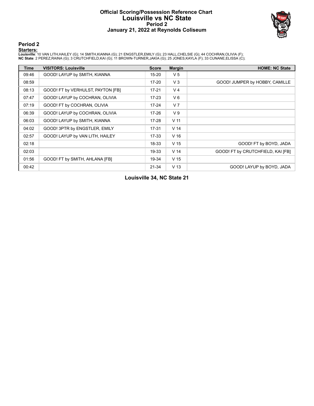#### **Official Scoring/Possession Reference Chart Louisville vs NC State Period 2 January 21, 2022 at Reynolds Coliseum**



**Period 2**

<mark>Starters :</mark><br>Louisville: 10 VAN LITH,HAILEY (G); 14 SMITH,KIANNA (G); 21 ENGSTLER,EMILY (G); 23 HALL,CHELSIE (G); 44 COCHRAN,OLIVIA (F);<br>**NC State**: 2 PEREZ,RAINA (G); 3 CRUTCHFIELD,KAI (G); 11 BROWN-TURNER,JAKIA (G); 25 J

| <b>Time</b> | <b>VISITORS: Louisville</b>       | <b>Score</b> | <b>Margin</b>   | <b>HOME: NC State</b>             |
|-------------|-----------------------------------|--------------|-----------------|-----------------------------------|
| 09:46       | GOOD! LAYUP by SMITH, KIANNA      | $15 - 20$    | V <sub>5</sub>  |                                   |
| 08:59       |                                   | $17 - 20$    | V <sub>3</sub>  | GOOD! JUMPER by HOBBY, CAMILLE    |
| 08:13       | GOOD! FT by VERHULST, PAYTON [FB] | $17 - 21$    | V <sub>4</sub>  |                                   |
| 07:47       | GOOD! LAYUP by COCHRAN, OLIVIA    | $17 - 23$    | $V_6$           |                                   |
| 07:19       | GOOD! FT by COCHRAN, OLIVIA       | $17 - 24$    | V <sub>7</sub>  |                                   |
| 06:39       | GOOD! LAYUP by COCHRAN, OLIVIA    | $17 - 26$    | V <sub>9</sub>  |                                   |
| 06:03       | GOOD! LAYUP by SMITH, KIANNA      | $17 - 28$    | V <sub>11</sub> |                                   |
| 04:02       | GOOD! 3PTR by ENGSTLER, EMILY     | $17 - 31$    | V <sub>14</sub> |                                   |
| 02:57       | GOOD! LAYUP by VAN LITH, HAILEY   | $17 - 33$    | V <sub>16</sub> |                                   |
| 02:18       |                                   | 18-33        | V <sub>15</sub> | GOOD! FT by BOYD, JADA            |
| 02:03       |                                   | 19-33        | V <sub>14</sub> | GOOD! FT by CRUTCHFIELD, KAI [FB] |
| 01:56       | GOOD! FT by SMITH, AHLANA [FB]    | 19-34        | V <sub>15</sub> |                                   |
| 00:42       |                                   | $21 - 34$    | V <sub>13</sub> | GOOD! LAYUP by BOYD, JADA         |

**Louisville 34, NC State 21**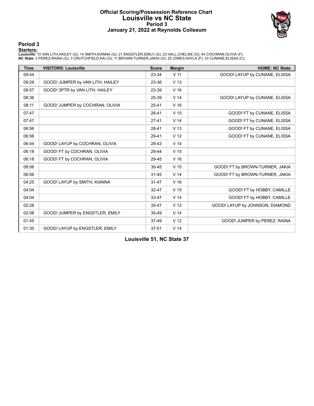#### **Official Scoring/Possession Reference Chart Louisville vs NC State Period 3 January 21, 2022 at Reynolds Coliseum**



#### **Period 3**

<mark>Starters :</mark><br>Louisville: 10 VAN LITH,HAILEY (G); 14 SMITH,KIANNA (G); 21 ENGSTLER,EMILY (G); 23 HALL,CHELSIE (G); 44 COCHRAN,OLIVIA (F);<br>**NC State**: 2 PEREZ,RAINA (G); 3 CRUTCHFIELD,KAI (G); 11 BROWN-TURNER,JAKIA (G); 25 J

| <b>Time</b> | <b>VISITORS: Louisville</b>      | <b>Score</b> | <b>Margin</b>   | <b>HOME: NC State</b>           |
|-------------|----------------------------------|--------------|-----------------|---------------------------------|
| 09:44       |                                  | 23-34        | V <sub>11</sub> | GOOD! LAYUP by CUNANE, ELISSA   |
| 09:29       | GOOD! JUMPER by VAN LITH, HAILEY | 23-36        | V <sub>13</sub> |                                 |
| 08:57       | GOOD! 3PTR by VAN LITH, HAILEY   | 23-39        | V <sub>16</sub> |                                 |
| 08:36       |                                  | 25-39        | V <sub>14</sub> | GOOD! LAYUP by CUNANE, ELISSA   |
| 08:11       | GOOD! JUMPER by COCHRAN, OLIVIA  | $25 - 41$    | V <sub>16</sub> |                                 |
| 07:47       |                                  | 26-41        | V <sub>15</sub> | GOOD! FT by CUNANE, ELISSA      |
| 07:47       |                                  | $27-41$      | V <sub>14</sub> | GOOD! FT by CUNANE, ELISSA      |
| 06:56       |                                  | 28-41        | V <sub>13</sub> | GOOD! FT by CUNANE, ELISSA      |
| 06:56       |                                  | 29-41        | V <sub>12</sub> | GOOD! FT by CUNANE, ELISSA      |
| 06:44       | GOOD! LAYUP by COCHRAN, OLIVIA   | 29-43        | V <sub>14</sub> |                                 |
| 06:18       | GOOD! FT by COCHRAN, OLIVIA      | 29-44        | V <sub>15</sub> |                                 |
| 06:18       | GOOD! FT by COCHRAN, OLIVIA      | 29-45        | V <sub>16</sub> |                                 |
| 06:06       |                                  | $30 - 45$    | V <sub>15</sub> | GOOD! FT by BROWN-TURNER, JAKIA |
| 06:06       |                                  | $31 - 45$    | V <sub>14</sub> | GOOD! FT by BROWN-TURNER, JAKIA |
| 04:25       | GOOD! LAYUP by SMITH, KIANNA     | $31 - 47$    | V <sub>16</sub> |                                 |
| 04:04       |                                  | 32-47        | V <sub>15</sub> | GOOD! FT by HOBBY, CAMILLE      |
| 04:04       |                                  | 33-47        | V <sub>14</sub> | GOOD! FT by HOBBY, CAMILLE      |
| 02:28       |                                  | 35-47        | V <sub>12</sub> | GOOD! LAYUP by JOHNSON, DIAMOND |
| 02:08       | GOOD! JUMPER by ENGSTLER, EMILY  | 35-49        | V <sub>14</sub> |                                 |
| 01:45       |                                  | 37-49        | V <sub>12</sub> | GOOD! JUMPER by PEREZ, RAINA    |
| 01:30       | GOOD! LAYUP by ENGSTLER, EMILY   | $37 - 51$    | V <sub>14</sub> |                                 |

**Louisville 51, NC State 37**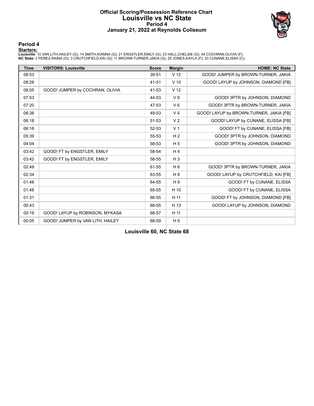#### **Official Scoring/Possession Reference Chart Louisville vs NC State Period 4 January 21, 2022 at Reynolds Coliseum**



**Period 4**

<mark>Starters :</mark><br>Louisville: 10 VAN LITH,HAILEY (G); 14 SMITH,KIANNA (G); 21 ENGSTLER,EMILY (G); 23 HALL,CHELSIE (G); 44 COCHRAN,OLIVIA (F);<br>**NC State**: 2 PEREZ,RAINA (G); 3 CRUTCHFIELD,KAI (G); 11 BROWN-TURNER,JAKIA (G); 25 J

| <b>Time</b> | <b>VISITORS: Louisville</b>      | <b>Score</b> | <b>Margin</b>   | <b>HOME: NC State</b>                   |
|-------------|----------------------------------|--------------|-----------------|-----------------------------------------|
| 08:53       |                                  | 39-51        | V <sub>12</sub> | GOOD! JUMPER by BROWN-TURNER, JAKIA     |
| 08:28       |                                  | 41-51        | $V$ 10          | GOOD! LAYUP by JOHNSON, DIAMOND [FB]    |
| 08:05       | GOOD! JUMPER by COCHRAN, OLIVIA  | 41-53        | V <sub>12</sub> |                                         |
| 07:53       |                                  | 44-53        | V <sub>9</sub>  | GOOD! 3PTR by JOHNSON, DIAMOND          |
| 07:20       |                                  | 47-53        | $V_6$           | GOOD! 3PTR by BROWN-TURNER, JAKIA       |
| 06:38       |                                  | 49-53        | V <sub>4</sub>  | GOOD! LAYUP by BROWN-TURNER, JAKIA [FB] |
| 06:18       |                                  | 51-53        | V <sub>2</sub>  | GOOD! LAYUP by CUNANE, ELISSA [FB]      |
| 06:18       |                                  | 52-53        | V <sub>1</sub>  | GOOD! FT by CUNANE, ELISSA [FB]         |
| 05:39       |                                  | 55-53        | H <sub>2</sub>  | GOOD! 3PTR by JOHNSON, DIAMOND          |
| 04:04       |                                  | 58-53        | H <sub>5</sub>  | GOOD! 3PTR by JOHNSON, DIAMOND          |
| 03:42       | GOOD! FT by ENGSTLER, EMILY      | 58-54        | H <sub>4</sub>  |                                         |
| 03:42       | GOOD! FT by ENGSTLER, EMILY      | 58-55        | $H_3$           |                                         |
| 02:49       |                                  | 61-55        | H <sub>6</sub>  | GOOD! 3PTR by BROWN-TURNER, JAKIA       |
| 02:34       |                                  | 63-55        | H <sub>8</sub>  | GOOD! LAYUP by CRUTCHFIELD, KAI [FB]    |
| 01:48       |                                  | 64-55        | H <sub>9</sub>  | GOOD! FT by CUNANE, ELISSA              |
| 01:48       |                                  | 65-55        | H 10            | GOOD! FT by CUNANE, ELISSA              |
| 01:31       |                                  | 66-55        | H 11            | GOOD! FT by JOHNSON, DIAMOND [FB]       |
| 00:43       |                                  | 68-55        | H 13            | GOOD! LAYUP by JOHNSON, DIAMOND         |
| 00:19       | GOOD! LAYUP by ROBINSON, MYKASA  | 68-57        | H 11            |                                         |
| 00:05       | GOOD! JUMPER by VAN LITH, HAILEY | 68-59        | H <sub>9</sub>  |                                         |

**Louisville 60, NC State 68**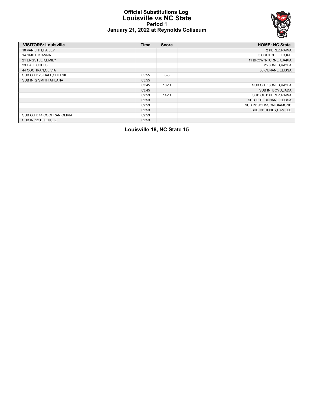#### **Official Substitutions Log Louisville vs NC State Period 1 January 21, 2022 at Reynolds Coliseum**



| <b>VISITORS: Louisville</b> | <b>Time</b> | <b>Score</b> | <b>HOME: NC State</b>    |
|-----------------------------|-------------|--------------|--------------------------|
| 10 VAN LITH, HAILEY         |             |              | 2 PEREZ, RAINA           |
| 14 SMITH, KIANNA            |             |              | 3 CRUTCHFIELD, KAI       |
| 21 ENGSTLER, EMILY          |             |              | 11 BROWN-TURNER, JAKIA   |
| 23 HALL, CHELSIE            |             |              | 25 JONES, KAYLA          |
| 44 COCHRAN, OLIVIA          |             |              | 33 CUNANE, ELISSA        |
| SUB OUT: 23 HALL, CHELSIE   | 05:55       | $6 - 5$      |                          |
| SUB IN: 2 SMITH, AHLANA     | 05:55       |              |                          |
|                             | 03:45       | $10 - 11$    | SUB OUT: JONES, KAYLA    |
|                             | 03:45       |              | SUB IN: BOYD, JADA       |
|                             | 02:53       | $14 - 11$    | SUB OUT: PEREZ, RAINA    |
|                             | 02:53       |              | SUB OUT: CUNANE ELISSA   |
|                             | 02:53       |              | SUB IN: JOHNSON, DIAMOND |
|                             | 02:53       |              | SUB IN: HOBBY, CAMILLE   |
| SUB OUT: 44 COCHRAN, OLIVIA | 02:53       |              |                          |
| SUB IN: 22 DIXON.LIZ        | 02:53       |              |                          |

**Louisville 18, NC State 15**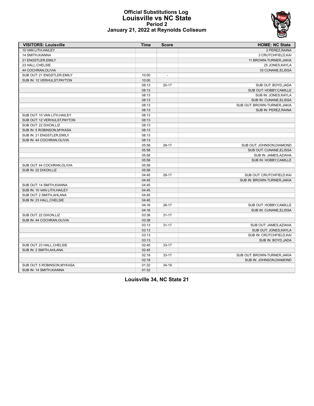

#### **Official Substitutions Log Louisville vs NC State Period 2 January 21, 2022 at Reynolds Coliseum**

| <b>VISITORS: Louisville</b>  | <b>Time</b> | <b>Score</b>   | <b>HOME: NC State</b>        |
|------------------------------|-------------|----------------|------------------------------|
| 10 VAN LITH, HAILEY          |             |                | 2 PEREZ, RAINA               |
| 14 SMITH, KIANNA             |             |                | 3 CRUTCHFIELD, KAI           |
| 21 ENGSTLER, EMILY           |             |                | 11 BROWN-TURNER, JAKIA       |
| 23 HALL, CHELSIE             |             |                | 25 JONES, KAYLA              |
| 44 COCHRAN, OLIVIA           |             |                | 33 CUNANE.ELISSA             |
| SUB OUT: 21 ENGSTLER, EMILY  | 10:00       | $\overline{a}$ |                              |
| SUB IN: 12 VERHULST, PAYTON  | 10:00       |                |                              |
|                              | 08:13       | $20 - 17$      | SUB OUT: BOYD, JADA          |
|                              | 08:13       |                | SUB OUT: HOBBY, CAMILLE      |
|                              | 08:13       |                | SUB IN: JONES, KAYLA         |
|                              | 08:13       |                | SUB IN: CUNANE, ELISSA       |
|                              | 08:13       |                | SUB OUT: BROWN-TURNER, JAKIA |
|                              | 08:13       |                | SUB IN: PEREZ, RAINA         |
| SUB OUT: 10 VAN LITH, HAILEY | 08:13       |                |                              |
| SUB OUT: 12 VERHULST PAYTON  | 08:13       |                |                              |
| SUB OUT: 22 DIXON, LIZ       | 08:13       |                |                              |
| SUB IN: 5 ROBINSON, MYKASA   | 08:13       |                |                              |
| SUB IN: 21 ENGSTLER, EMILY   | 08:13       |                |                              |
| SUB IN: 44 COCHRAN, OLIVIA   | 08:13       |                |                              |
|                              | 05:58       | $28-17$        | SUB OUT: JOHNSON, DIAMOND    |
|                              | 05:58       |                | SUB OUT: CUNANE, ELISSA      |
|                              | 05:58       |                | SUB IN: JAMES, AZIAHA        |
|                              | 05:58       |                | SUB IN: HOBBY, CAMILLE       |
| SUB OUT: 44 COCHRAN, OLIVIA  | 05:58       |                |                              |
| SUB IN: 22 DIXON, LIZ        | 05:58       |                |                              |
|                              | 04:45       | 28-17          | SUB OUT: CRUTCHFIELD, KAI    |
|                              | 04:45       |                | SUB IN: BROWN-TURNER, JAKIA  |
| SUB OUT: 14 SMITH, KIANNA    | 04:45       |                |                              |
| SUB IN: 10 VAN LITH, HAILEY  | 04:45       |                |                              |
| SUB OUT: 2 SMITH, AHLANA     | 04:45       |                |                              |
| SUB IN: 23 HALL, CHELSIE     | 04:45       |                |                              |
|                              | 04:16       | $28-17$        | SUB OUT: HOBBY, CAMILLE      |
|                              | 04:16       |                | SUB IN: CUNANE, ELISSA       |
| SUB OUT: 22 DIXON, LIZ       | 03:38       | $31 - 17$      |                              |
| SUB IN: 44 COCHRAN, OLIVIA   | 03:38       |                |                              |
|                              | 03:13       | $31 - 17$      | SUB OUT: JAMES, AZIAHA       |
|                              | 03:13       |                | SUB OUT: JONES, KAYLA        |
|                              | 03:13       |                | SUB IN: CRUTCHFIELD, KAI     |
|                              | 03:13       |                | SUB IN: BOYD, JADA           |
| SUB OUT: 23 HALL, CHELSIE    | 02:45       | $33 - 17$      |                              |
| SUB IN: 2 SMITH, AHLANA      | 02:45       |                |                              |
|                              | 02:18       | $33 - 17$      | SUB OUT: BROWN-TURNER, JAKIA |
|                              | 02:18       |                | SUB IN: JOHNSON, DIAMOND     |
| SUB OUT: 5 ROBINSON, MYKASA  | 01:32       | $34-19$        |                              |
| SUB IN: 14 SMITH, KIANNA     | 01:32       |                |                              |

**Louisville 34, NC State 21**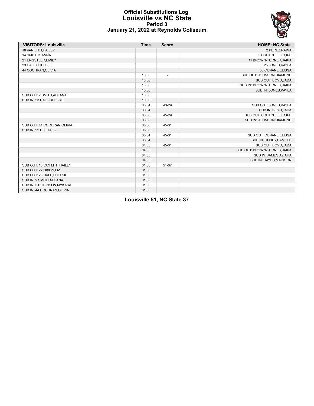

#### **Official Substitutions Log Louisville vs NC State Period 3 January 21, 2022 at Reynolds Coliseum**

| <b>VISITORS: Louisville</b>  | <b>Time</b> | <b>Score</b>             | <b>HOME: NC State</b>        |
|------------------------------|-------------|--------------------------|------------------------------|
| 10 VAN LITH, HAILEY          |             |                          | 2 PEREZ, RAINA               |
| 14 SMITH, KIANNA             |             |                          | 3 CRUTCHFIELD, KAI           |
| 21 ENGSTLER, EMILY           |             |                          | 11 BROWN-TURNER, JAKIA       |
| 23 HALL, CHELSIE             |             |                          | 25 JONES, KAYLA              |
| 44 COCHRAN, OLIVIA           |             |                          | 33 CUNANE, ELISSA            |
|                              | 10:00       | $\overline{\phantom{a}}$ | SUB OUT: JOHNSON, DIAMOND    |
|                              | 10:00       |                          | SUB OUT: BOYD, JADA          |
|                              | 10:00       |                          | SUB IN: BROWN-TURNER, JAKIA  |
|                              | 10:00       |                          | SUB IN: JONES, KAYLA         |
| SUB OUT: 2 SMITH, AHLANA     | 10:00       |                          |                              |
| SUB IN: 23 HALL, CHELSIE     | 10:00       |                          |                              |
|                              | 06:34       | 43-29                    | SUB OUT: JONES, KAYLA        |
|                              | 06:34       |                          | SUB IN: BOYD, JADA           |
|                              | 06:06       | 45-29                    | SUB OUT: CRUTCHFIELD, KAI    |
|                              | 06:06       |                          | SUB IN: JOHNSON, DIAMOND     |
| SUB OUT: 44 COCHRAN, OLIVIA  | 05:56       | 45-31                    |                              |
| SUB IN: 22 DIXON,LIZ         | 05:56       |                          |                              |
|                              | 05:34       | 45-31                    | SUB OUT: CUNANE, ELISSA      |
|                              | 05:34       |                          | SUB IN: HOBBY, CAMILLE       |
|                              | 04:55       | 45-31                    | SUB OUT: BOYD, JADA          |
|                              | 04:55       |                          | SUB OUT: BROWN-TURNER, JAKIA |
|                              | 04:55       |                          | SUB IN: JAMES, AZIAHA        |
|                              | 04:55       |                          | SUB IN: HAYES, MADISON       |
| SUB OUT: 10 VAN LITH, HAILEY | 01:30       | 51-37                    |                              |
| SUB OUT: 22 DIXON, LIZ       | 01:30       |                          |                              |
| SUB OUT: 23 HALL, CHELSIE    | 01:30       |                          |                              |
| SUB IN: 2 SMITH, AHLANA      | 01:30       |                          |                              |
| SUB IN: 5 ROBINSON, MYKASA   | 01:30       |                          |                              |
| SUB IN: 44 COCHRAN, OLIVIA   | 01:30       |                          |                              |

**Louisville 51, NC State 37**